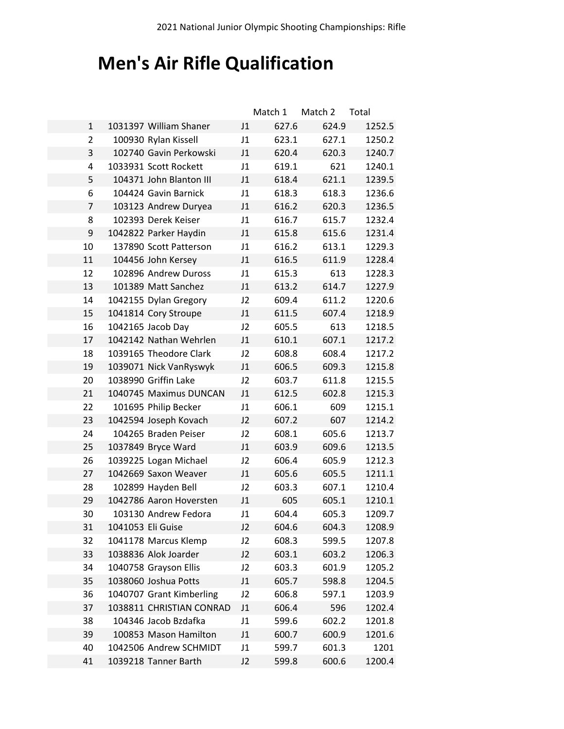# **Men's Air Rifle Qualification**

|                |                          |                | Match 1 | Match 2 | Total  |
|----------------|--------------------------|----------------|---------|---------|--------|
| $\mathbf{1}$   | 1031397 William Shaner   | J1             | 627.6   | 624.9   | 1252.5 |
| $\overline{2}$ | 100930 Rylan Kissell     | J1             | 623.1   | 627.1   | 1250.2 |
| 3              | 102740 Gavin Perkowski   | J1             | 620.4   | 620.3   | 1240.7 |
| 4              | 1033931 Scott Rockett    | J1             | 619.1   | 621     | 1240.1 |
| 5              | 104371 John Blanton III  | J1             | 618.4   | 621.1   | 1239.5 |
| 6              | 104424 Gavin Barnick     | J1             | 618.3   | 618.3   | 1236.6 |
| 7              | 103123 Andrew Duryea     | J1             | 616.2   | 620.3   | 1236.5 |
| 8              | 102393 Derek Keiser      | J1             | 616.7   | 615.7   | 1232.4 |
| 9              | 1042822 Parker Haydin    | J1             | 615.8   | 615.6   | 1231.4 |
| 10             | 137890 Scott Patterson   | J1             | 616.2   | 613.1   | 1229.3 |
| 11             | 104456 John Kersey       | J1             | 616.5   | 611.9   | 1228.4 |
| 12             | 102896 Andrew Duross     | J1             | 615.3   | 613     | 1228.3 |
| 13             | 101389 Matt Sanchez      | J1             | 613.2   | 614.7   | 1227.9 |
| 14             | 1042155 Dylan Gregory    | J2             | 609.4   | 611.2   | 1220.6 |
| 15             | 1041814 Cory Stroupe     | J1             | 611.5   | 607.4   | 1218.9 |
| 16             | 1042165 Jacob Day        | J2             | 605.5   | 613     | 1218.5 |
| 17             | 1042142 Nathan Wehrlen   | J1             | 610.1   | 607.1   | 1217.2 |
| 18             | 1039165 Theodore Clark   | J2             | 608.8   | 608.4   | 1217.2 |
| 19             | 1039071 Nick VanRyswyk   | J1             | 606.5   | 609.3   | 1215.8 |
| 20             | 1038990 Griffin Lake     | J2             | 603.7   | 611.8   | 1215.5 |
| 21             | 1040745 Maximus DUNCAN   | J1             | 612.5   | 602.8   | 1215.3 |
| 22             | 101695 Philip Becker     | J1             | 606.1   | 609     | 1215.1 |
| 23             | 1042594 Joseph Kovach    | J2             | 607.2   | 607     | 1214.2 |
| 24             | 104265 Braden Peiser     | J2             | 608.1   | 605.6   | 1213.7 |
| 25             | 1037849 Bryce Ward       | J1             | 603.9   | 609.6   | 1213.5 |
| 26             | 1039225 Logan Michael    | J2             | 606.4   | 605.9   | 1212.3 |
| 27             | 1042669 Saxon Weaver     | J1             | 605.6   | 605.5   | 1211.1 |
| 28             | 102899 Hayden Bell       | J2             | 603.3   | 607.1   | 1210.4 |
| 29             | 1042786 Aaron Hoversten  | J1             | 605     | 605.1   | 1210.1 |
| 30             | 103130 Andrew Fedora     | J1             | 604.4   | 605.3   | 1209.7 |
| 31             | 1041053 Eli Guise        | J <sub>2</sub> | 604.6   | 604.3   | 1208.9 |
| 32             | 1041178 Marcus Klemp     | J2             | 608.3   | 599.5   | 1207.8 |
| 33             | 1038836 Alok Joarder     | J2             | 603.1   | 603.2   | 1206.3 |
| 34             | 1040758 Grayson Ellis    | J2             | 603.3   | 601.9   | 1205.2 |
| 35             | 1038060 Joshua Potts     | J1             | 605.7   | 598.8   | 1204.5 |
| 36             | 1040707 Grant Kimberling | J2             | 606.8   | 597.1   | 1203.9 |
| 37             | 1038811 CHRISTIAN CONRAD | J1             | 606.4   | 596     | 1202.4 |
| 38             | 104346 Jacob Bzdafka     | J1             | 599.6   | 602.2   | 1201.8 |
| 39             | 100853 Mason Hamilton    | J1             | 600.7   | 600.9   | 1201.6 |
| 40             | 1042506 Andrew SCHMIDT   | J1             | 599.7   | 601.3   | 1201   |
| 41             | 1039218 Tanner Barth     | J2             | 599.8   | 600.6   | 1200.4 |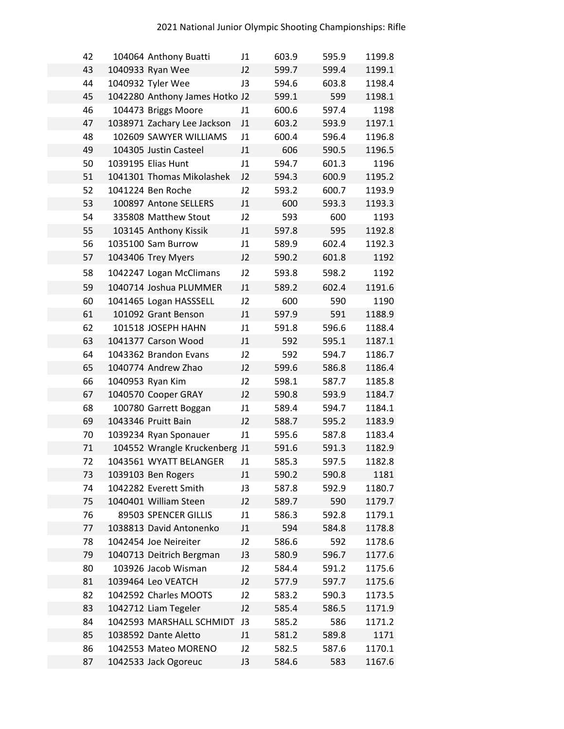| 42 | 104064 Anthony Buatti          | J1 | 603.9 | 595.9 | 1199.8 |
|----|--------------------------------|----|-------|-------|--------|
| 43 | 1040933 Ryan Wee               | J2 | 599.7 | 599.4 | 1199.1 |
| 44 | 1040932 Tyler Wee              | J3 | 594.6 | 603.8 | 1198.4 |
| 45 | 1042280 Anthony James Hotko J2 |    | 599.1 | 599   | 1198.1 |
| 46 | 104473 Briggs Moore            | J1 | 600.6 | 597.4 | 1198   |
| 47 | 1038971 Zachary Lee Jackson    | J1 | 603.2 | 593.9 | 1197.1 |
| 48 | 102609 SAWYER WILLIAMS         | J1 | 600.4 | 596.4 | 1196.8 |
| 49 | 104305 Justin Casteel          | J1 | 606   | 590.5 | 1196.5 |
| 50 | 1039195 Elias Hunt             | J1 | 594.7 | 601.3 | 1196   |
| 51 | 1041301 Thomas Mikolashek      | J2 | 594.3 | 600.9 | 1195.2 |
| 52 | 1041224 Ben Roche              | J2 | 593.2 | 600.7 | 1193.9 |
| 53 | 100897 Antone SELLERS          | J1 | 600   | 593.3 | 1193.3 |
| 54 | 335808 Matthew Stout           | J2 | 593   | 600   | 1193   |
| 55 | 103145 Anthony Kissik          | J1 | 597.8 | 595   | 1192.8 |
| 56 | 1035100 Sam Burrow             | J1 | 589.9 | 602.4 | 1192.3 |
| 57 | 1043406 Trey Myers             | J2 | 590.2 | 601.8 | 1192   |
| 58 | 1042247 Logan McClimans        | J2 | 593.8 | 598.2 | 1192   |
| 59 | 1040714 Joshua PLUMMER         | J1 | 589.2 | 602.4 | 1191.6 |
| 60 | 1041465 Logan HASSSELL         | J2 | 600   | 590   | 1190   |
| 61 | 101092 Grant Benson            | J1 | 597.9 | 591   | 1188.9 |
| 62 | 101518 JOSEPH HAHN             | J1 | 591.8 | 596.6 | 1188.4 |
| 63 | 1041377 Carson Wood            | J1 | 592   | 595.1 | 1187.1 |
| 64 | 1043362 Brandon Evans          | J2 | 592   | 594.7 | 1186.7 |
| 65 | 1040774 Andrew Zhao            | J2 | 599.6 | 586.8 | 1186.4 |
| 66 | 1040953 Ryan Kim               | J2 | 598.1 | 587.7 | 1185.8 |
| 67 | 1040570 Cooper GRAY            | J2 | 590.8 | 593.9 | 1184.7 |
| 68 | 100780 Garrett Boggan          | J1 | 589.4 | 594.7 | 1184.1 |
| 69 | 1043346 Pruitt Bain            | J2 | 588.7 | 595.2 | 1183.9 |
| 70 | 1039234 Ryan Sponauer          | J1 | 595.6 | 587.8 | 1183.4 |
| 71 | 104552 Wrangle Kruckenberg J1  |    | 591.6 | 591.3 | 1182.9 |
| 72 | 1043561 WYATT BELANGER         | J1 | 585.3 | 597.5 | 1182.8 |
| 73 | 1039103 Ben Rogers             | J1 | 590.2 | 590.8 | 1181   |
| 74 | 1042282 Everett Smith          | J3 | 587.8 | 592.9 | 1180.7 |
| 75 | 1040401 William Steen          | J2 | 589.7 | 590   | 1179.7 |
| 76 | 89503 SPENCER GILLIS           | J1 | 586.3 | 592.8 | 1179.1 |
| 77 | 1038813 David Antonenko        | J1 | 594   | 584.8 | 1178.8 |
| 78 | 1042454 Joe Neireiter          | J2 | 586.6 | 592   | 1178.6 |
| 79 | 1040713 Deitrich Bergman       | J3 | 580.9 | 596.7 | 1177.6 |
| 80 | 103926 Jacob Wisman            | J2 | 584.4 | 591.2 | 1175.6 |
| 81 | 1039464 Leo VEATCH             | J2 | 577.9 | 597.7 | 1175.6 |
| 82 | 1042592 Charles MOOTS          | J2 | 583.2 | 590.3 | 1173.5 |
| 83 | 1042712 Liam Tegeler           | J2 | 585.4 | 586.5 | 1171.9 |
| 84 | 1042593 MARSHALL SCHMIDT       | J3 | 585.2 | 586   | 1171.2 |
| 85 | 1038592 Dante Aletto           | J1 | 581.2 | 589.8 | 1171   |
| 86 | 1042553 Mateo MORENO           | J2 | 582.5 | 587.6 | 1170.1 |
| 87 | 1042533 Jack Ogoreuc           | J3 | 584.6 | 583   | 1167.6 |
|    |                                |    |       |       |        |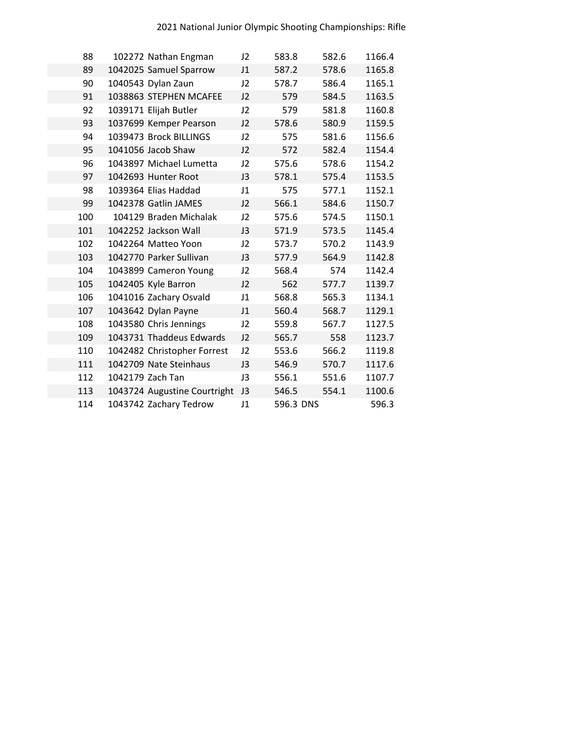| 88  | 102272 Nathan Engman         | J2 | 583.8     | 582.6 | 1166.4 |
|-----|------------------------------|----|-----------|-------|--------|
| 89  | 1042025 Samuel Sparrow       | J1 | 587.2     | 578.6 | 1165.8 |
| 90  | 1040543 Dylan Zaun           | 12 | 578.7     | 586.4 | 1165.1 |
| 91  | 1038863 STEPHEN MCAFEE       | 12 | 579       | 584.5 | 1163.5 |
| 92  | 1039171 Elijah Butler        | J2 | 579       | 581.8 | 1160.8 |
| 93  | 1037699 Kemper Pearson       | J2 | 578.6     | 580.9 | 1159.5 |
| 94  | 1039473 Brock BILLINGS       | J2 | 575       | 581.6 | 1156.6 |
| 95  | 1041056 Jacob Shaw           | J2 | 572       | 582.4 | 1154.4 |
| 96  | 1043897 Michael Lumetta      | J2 | 575.6     | 578.6 | 1154.2 |
| 97  | 1042693 Hunter Root          | J3 | 578.1     | 575.4 | 1153.5 |
| 98  | 1039364 Elias Haddad         | J1 | 575       | 577.1 | 1152.1 |
| 99  | 1042378 Gatlin JAMES         | 12 | 566.1     | 584.6 | 1150.7 |
| 100 | 104129 Braden Michalak       | J2 | 575.6     | 574.5 | 1150.1 |
| 101 | 1042252 Jackson Wall         | J3 | 571.9     | 573.5 | 1145.4 |
| 102 | 1042264 Matteo Yoon          | J2 | 573.7     | 570.2 | 1143.9 |
| 103 | 1042770 Parker Sullivan      | J3 | 577.9     | 564.9 | 1142.8 |
| 104 | 1043899 Cameron Young        | J2 | 568.4     | 574   | 1142.4 |
| 105 | 1042405 Kyle Barron          | J2 | 562       | 577.7 | 1139.7 |
| 106 | 1041016 Zachary Osvald       | J1 | 568.8     | 565.3 | 1134.1 |
| 107 | 1043642 Dylan Payne          | J1 | 560.4     | 568.7 | 1129.1 |
| 108 | 1043580 Chris Jennings       | J2 | 559.8     | 567.7 | 1127.5 |
| 109 | 1043731 Thaddeus Edwards     | J2 | 565.7     | 558   | 1123.7 |
| 110 | 1042482 Christopher Forrest  | J2 | 553.6     | 566.2 | 1119.8 |
| 111 | 1042709 Nate Steinhaus       | J3 | 546.9     | 570.7 | 1117.6 |
| 112 | 1042179 Zach Tan             | J3 | 556.1     | 551.6 | 1107.7 |
| 113 | 1043724 Augustine Courtright | J3 | 546.5     | 554.1 | 1100.6 |
| 114 | 1043742 Zachary Tedrow       | J1 | 596.3 DNS |       | 596.3  |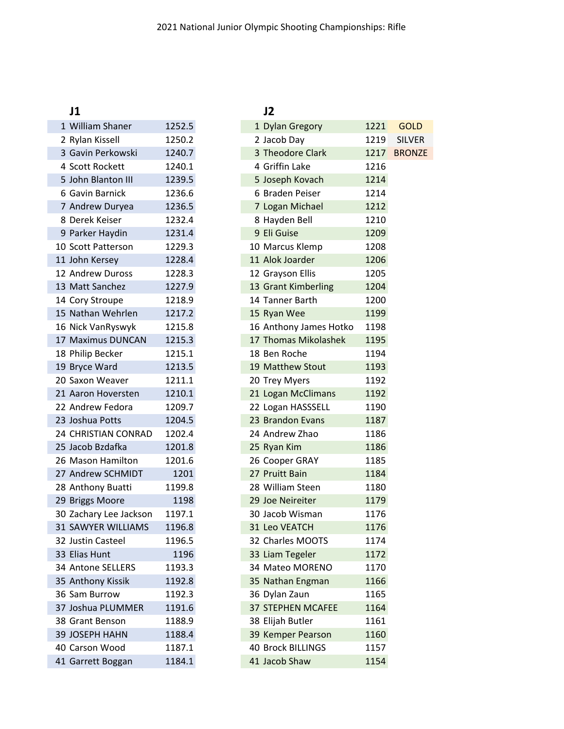| J1                        |        | J2            |
|---------------------------|--------|---------------|
| 1 William Shaner          | 1252.5 | 1 Dy          |
| 2 Rylan Kissell           | 1250.2 | 2 Jac         |
| 3 Gavin Perkowski         | 1240.7 | 3 Th          |
| 4 Scott Rockett           | 1240.1 | 4 Gri         |
| 5 John Blanton III        | 1239.5 | 5 Jos         |
| 6 Gavin Barnick           | 1236.6 | 6 Bra         |
| 7 Andrew Duryea           | 1236.5 | 7 Log         |
| 8 Derek Keiser            | 1232.4 | 8 Ha          |
| 9 Parker Haydin           | 1231.4 | 9 Eli         |
| 10 Scott Patterson        | 1229.3 | 10 Ma         |
| 11 John Kersey            | 1228.4 | 11 Ald        |
| 12 Andrew Duross          | 1228.3 | 12 Gra        |
| 13 Matt Sanchez           | 1227.9 | 13 Gra        |
| 14 Cory Stroupe           | 1218.9 | 14 Tar        |
| 15 Nathan Wehrlen         | 1217.2 | 15 Ry         |
| 16 Nick VanRyswyk         | 1215.8 | 16 An         |
| 17 Maximus DUNCAN         | 1215.3 | 17 Th         |
| 18 Philip Becker          | 1215.1 | 18 Be         |
| 19 Bryce Ward             | 1213.5 | 19 Ma         |
| 20 Saxon Weaver           | 1211.1 | 20 Tre        |
| 21 Aaron Hoversten        | 1210.1 | $21$ Log      |
| 22 Andrew Fedora          | 1209.7 | $22$ Log      |
| 23 Joshua Potts           | 1204.5 | 23 Bra        |
| 24 CHRISTIAN CONRAD       | 1202.4 | 24 An         |
| 25 Jacob Bzdafka          | 1201.8 | 25 Ry         |
| 26 Mason Hamilton         | 1201.6 | 26 Co         |
| 27 Andrew SCHMIDT         | 1201   | 27 Pru        |
| 28 Anthony Buatti         | 1199.8 | 28 Wi         |
| 29 Briggs Moore           | 1198   | $29$ Joe      |
| 30 Zachary Lee Jackson    | 1197.1 | 30 Jac        |
| <b>31 SAWYER WILLIAMS</b> | 1196.8 | 31 Leo        |
| 32 Justin Casteel         | 1196.5 | 32 Ch         |
| 33 Elias Hunt             | 1196   | 33 Lia        |
| 34 Antone SELLERS         | 1193.3 | 34 Ma         |
| 35 Anthony Kissik         | 1192.8 | 35 Na         |
| 36 Sam Burrow             | 1192.3 | 36 Dy         |
| 37 Joshua PLUMMER         | 1191.6 | <b>37 STI</b> |
| 38 Grant Benson           | 1188.9 | 38 Elij       |
| 39 JOSEPH HAHN            | 1188.4 | 39 Ke         |
| 40 Carson Wood            | 1187.1 | 40 Bro        |
| 41 Garrett Boggan         | 1184.1 | 41 Jac        |

|                        |        |  | JŁ                       |      |
|------------------------|--------|--|--------------------------|------|
| 1 William Shaner       | 1252.5 |  | 1 Dylan Gregory          | 1221 |
| 2 Rylan Kissell        | 1250.2 |  | 2 Jacob Day              | 1219 |
| 3 Gavin Perkowski      | 1240.7 |  | 3 Theodore Clark         | 1217 |
| 4 Scott Rockett        | 1240.1 |  | 4 Griffin Lake           | 1216 |
| 5 John Blanton III     | 1239.5 |  | 5 Joseph Kovach          | 1214 |
| 6 Gavin Barnick        | 1236.6 |  | 6 Braden Peiser          | 1214 |
| 7 Andrew Duryea        | 1236.5 |  | 7 Logan Michael          | 1212 |
| 8 Derek Keiser         | 1232.4 |  | 8 Hayden Bell            | 1210 |
| 9 Parker Haydin        | 1231.4 |  | 9 Eli Guise              | 1209 |
| 10 Scott Patterson     | 1229.3 |  | 10 Marcus Klemp          | 1208 |
| 11 John Kersey         | 1228.4 |  | 11 Alok Joarder          | 1206 |
| 12 Andrew Duross       | 1228.3 |  | 12 Grayson Ellis         | 1205 |
| 13 Matt Sanchez        | 1227.9 |  | 13 Grant Kimberling      | 1204 |
| 14 Cory Stroupe        | 1218.9 |  | 14 Tanner Barth          | 1200 |
| 15 Nathan Wehrlen      | 1217.2 |  | 15 Ryan Wee              | 1199 |
| 16 Nick VanRyswyk      | 1215.8 |  | 16 Anthony James Hotko   | 1198 |
| 17 Maximus DUNCAN      | 1215.3 |  | 17 Thomas Mikolashek     | 1195 |
| 18 Philip Becker       | 1215.1 |  | 18 Ben Roche             | 1194 |
| 19 Bryce Ward          | 1213.5 |  | 19 Matthew Stout         | 1193 |
| 20 Saxon Weaver        | 1211.1 |  | 20 Trey Myers            | 1192 |
| 21 Aaron Hoversten     | 1210.1 |  | 21 Logan McClimans       | 1192 |
| 22 Andrew Fedora       | 1209.7 |  | 22 Logan HASSSELL        | 1190 |
| 23 Joshua Potts        | 1204.5 |  | 23 Brandon Evans         | 1187 |
| 24 CHRISTIAN CONRAD    | 1202.4 |  | 24 Andrew Zhao           | 1186 |
| 25 Jacob Bzdafka       | 1201.8 |  | 25 Ryan Kim              | 1186 |
| 26 Mason Hamilton      | 1201.6 |  | 26 Cooper GRAY           | 1185 |
| 27 Andrew SCHMIDT      | 1201   |  | 27 Pruitt Bain           | 1184 |
| 28 Anthony Buatti      | 1199.8 |  | 28 William Steen         | 1180 |
| 29 Briggs Moore        | 1198   |  | 29 Joe Neireiter         | 1179 |
| 30 Zachary Lee Jackson | 1197.1 |  | 30 Jacob Wisman          | 1176 |
| 31 SAWYER WILLIAMS     | 1196.8 |  | 31 Leo VEATCH            | 1176 |
| 32 Justin Casteel      | 1196.5 |  | 32 Charles MOOTS         | 1174 |
| 33 Elias Hunt          | 1196   |  | 33 Liam Tegeler          | 1172 |
| 34 Antone SELLERS      | 1193.3 |  | 34 Mateo MORENO          | 1170 |
| 35 Anthony Kissik      | 1192.8 |  | 35 Nathan Engman         | 1166 |
| 36 Sam Burrow          | 1192.3 |  | 36 Dylan Zaun            | 1165 |
| 37 Joshua PLUMMER      | 1191.6 |  | <b>37 STEPHEN MCAFEE</b> | 1164 |
| 38 Grant Benson        | 1188.9 |  | 38 Elijah Butler         | 1161 |
| 39 JOSEPH HAHN         | 1188.4 |  | 39 Kemper Pearson        | 1160 |
| 40 Carson Wood         | 1187.1 |  | <b>40 Brock BILLINGS</b> | 1157 |
| 41 Garrett Boggan      | 1184.1 |  | 41 Jacob Shaw            | 1154 |
|                        |        |  |                          |      |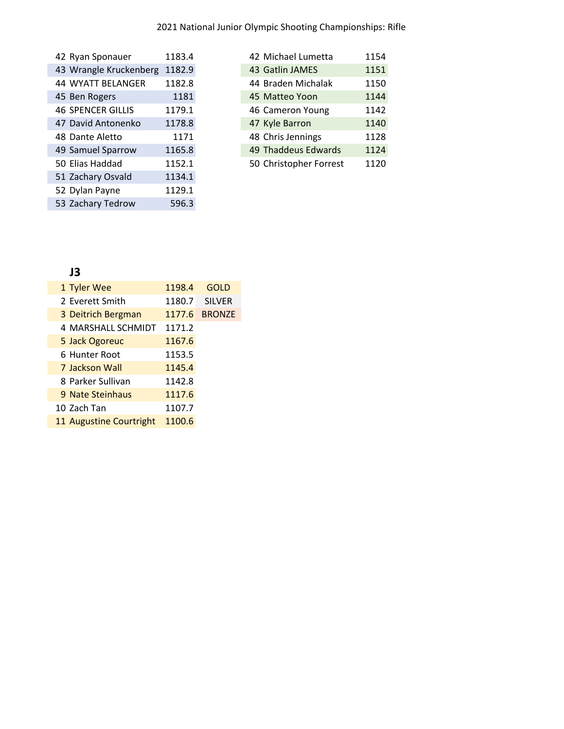| 42 Ryan Sponauer         | 1183.4 |
|--------------------------|--------|
| 43 Wrangle Kruckenberg   | 1182.9 |
| <b>44 WYATT BELANGER</b> | 1182.8 |
| 45 Ben Rogers            | 1181   |
| <b>46 SPENCER GILLIS</b> | 1179.1 |
| 47 David Antonenko       | 1178.8 |
| 48 Dante Aletto          | 1171   |
| 49 Samuel Sparrow        | 1165.8 |
| 50 Elias Haddad          | 1152.1 |
| 51 Zachary Osvald        | 1134.1 |
| 52 Dylan Payne           | 1129.1 |
| 53 Zachary Tedrow        | 596.3  |
|                          |        |

| 42 Michael Lumetta     | 1154 |
|------------------------|------|
| 43 Gatlin JAMES        | 1151 |
| 44 Braden Michalak     | 1150 |
| 45 Matteo Yoon         | 1144 |
| 46 Cameron Young       | 1142 |
| 47 Kyle Barron         | 1140 |
| 48 Chris Jennings      | 1128 |
| 49 Thaddeus Edwards    | 1124 |
| 50 Christopher Forrest | 1120 |

## **J3**

| 1 Tyler Wee             | 1198.4 | <b>GOLD</b>   |
|-------------------------|--------|---------------|
| 2 Everett Smith         | 1180.7 | <b>SILVER</b> |
| 3 Deitrich Bergman      | 1177.6 | <b>BRONZE</b> |
| 4 MARSHALL SCHMIDT      | 1171.2 |               |
| 5 Jack Ogoreuc          | 1167.6 |               |
| 6 Hunter Root           | 1153.5 |               |
| 7 Jackson Wall          | 1145.4 |               |
| 8 Parker Sullivan       | 1142.8 |               |
| 9 Nate Steinhaus        | 1117.6 |               |
| 10 Zach Tan             | 1107.7 |               |
| 11 Augustine Courtright | 1100.6 |               |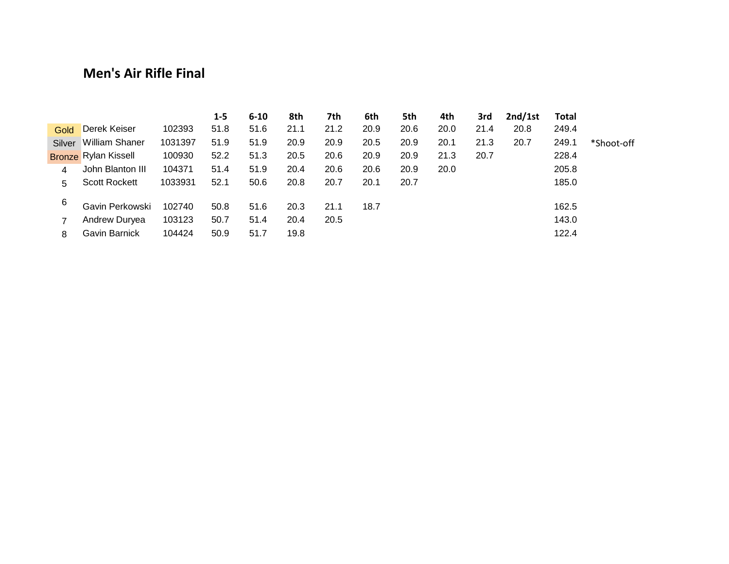## **Men's Air Rifle Final**

|        |                             |         | 1-5  | $6 - 10$ | 8th  | 7th  | 6th  | 5th  | 4th  | 3rd  | 2nd/1st | Total |            |
|--------|-----------------------------|---------|------|----------|------|------|------|------|------|------|---------|-------|------------|
| Gold   | Derek Keiser                | 102393  | 51.8 | 51.6     | 21.1 | 21.2 | 20.9 | 20.6 | 20.0 | 21.4 | 20.8    | 249.4 |            |
| Silver | William Shaner              | 1031397 | 51.9 | 51.9     | 20.9 | 20.9 | 20.5 | 20.9 | 20.1 | 21.3 | 20.7    | 249.1 | *Shoot-off |
|        | <b>Bronze Rylan Kissell</b> | 100930  | 52.2 | 51.3     | 20.5 | 20.6 | 20.9 | 20.9 | 21.3 | 20.7 |         | 228.4 |            |
| 4      | John Blanton III            | 104371  | 51.4 | 51.9     | 20.4 | 20.6 | 20.6 | 20.9 | 20.0 |      |         | 205.8 |            |
| 5.     | <b>Scott Rockett</b>        | 1033931 | 52.1 | 50.6     | 20.8 | 20.7 | 20.1 | 20.7 |      |      |         | 185.0 |            |
| 6      | Gavin Perkowski             | 102740  | 50.8 | 51.6     | 20.3 | 21.1 | 18.7 |      |      |      |         | 162.5 |            |
|        | Andrew Duryea               | 103123  | 50.7 | 51.4     | 20.4 | 20.5 |      |      |      |      |         | 143.0 |            |
| 8      | Gavin Barnick               | 104424  | 50.9 | 51.7     | 19.8 |      |      |      |      |      |         | 122.4 |            |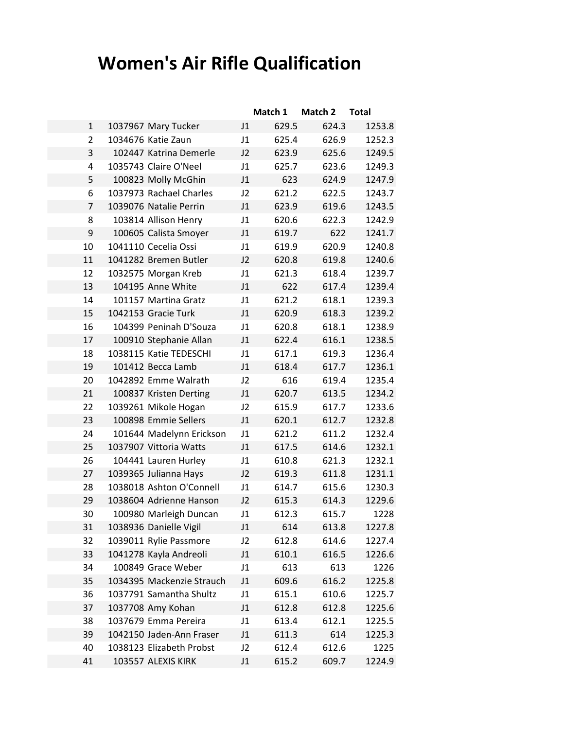# **Women's Air Rifle Qualification**

|                |                           |    | Match 1 | Match 2 | <b>Total</b> |
|----------------|---------------------------|----|---------|---------|--------------|
| $\mathbf{1}$   | 1037967 Mary Tucker       | J1 | 629.5   | 624.3   | 1253.8       |
| 2              | 1034676 Katie Zaun        | J1 | 625.4   | 626.9   | 1252.3       |
| 3              | 102447 Katrina Demerle    | J2 | 623.9   | 625.6   | 1249.5       |
| 4              | 1035743 Claire O'Neel     | J1 | 625.7   | 623.6   | 1249.3       |
| 5              | 100823 Molly McGhin       | J1 | 623     | 624.9   | 1247.9       |
| 6              | 1037973 Rachael Charles   | J2 | 621.2   | 622.5   | 1243.7       |
| $\overline{7}$ | 1039076 Natalie Perrin    | J1 | 623.9   | 619.6   | 1243.5       |
| 8              | 103814 Allison Henry      | J1 | 620.6   | 622.3   | 1242.9       |
| 9              | 100605 Calista Smoyer     | J1 | 619.7   | 622     | 1241.7       |
| 10             | 1041110 Cecelia Ossi      | J1 | 619.9   | 620.9   | 1240.8       |
| 11             | 1041282 Bremen Butler     | J2 | 620.8   | 619.8   | 1240.6       |
| 12             | 1032575 Morgan Kreb       | J1 | 621.3   | 618.4   | 1239.7       |
| 13             | 104195 Anne White         | J1 | 622     | 617.4   | 1239.4       |
| 14             | 101157 Martina Gratz      | J1 | 621.2   | 618.1   | 1239.3       |
| 15             | 1042153 Gracie Turk       | J1 | 620.9   | 618.3   | 1239.2       |
| 16             | 104399 Peninah D'Souza    | J1 | 620.8   | 618.1   | 1238.9       |
| 17             | 100910 Stephanie Allan    | J1 | 622.4   | 616.1   | 1238.5       |
| 18             | 1038115 Katie TEDESCHI    | J1 | 617.1   | 619.3   | 1236.4       |
| 19             | 101412 Becca Lamb         | J1 | 618.4   | 617.7   | 1236.1       |
| 20             | 1042892 Emme Walrath      | J2 | 616     | 619.4   | 1235.4       |
| 21             | 100837 Kristen Derting    | J1 | 620.7   | 613.5   | 1234.2       |
| 22             | 1039261 Mikole Hogan      | J2 | 615.9   | 617.7   | 1233.6       |
| 23             | 100898 Emmie Sellers      | J1 | 620.1   | 612.7   | 1232.8       |
| 24             | 101644 Madelynn Erickson  | J1 | 621.2   | 611.2   | 1232.4       |
| 25             | 1037907 Vittoria Watts    | J1 | 617.5   | 614.6   | 1232.1       |
| 26             | 104441 Lauren Hurley      | J1 | 610.8   | 621.3   | 1232.1       |
| 27             | 1039365 Julianna Hays     | J2 | 619.3   | 611.8   | 1231.1       |
| 28             | 1038018 Ashton O'Connell  | J1 | 614.7   | 615.6   | 1230.3       |
| 29             | 1038604 Adrienne Hanson   | J2 | 615.3   | 614.3   | 1229.6       |
| 30             | 100980 Marleigh Duncan    | J1 | 612.3   | 615.7   | 1228         |
| 31             | 1038936 Danielle Vigil    | J1 | 614     | 613.8   | 1227.8       |
| 32             | 1039011 Rylie Passmore    | J2 | 612.8   | 614.6   | 1227.4       |
| 33             | 1041278 Kayla Andreoli    | J1 | 610.1   | 616.5   | 1226.6       |
| 34             | 100849 Grace Weber        | J1 | 613     | 613     | 1226         |
| 35             | 1034395 Mackenzie Strauch | J1 | 609.6   | 616.2   | 1225.8       |
| 36             | 1037791 Samantha Shultz   | J1 | 615.1   | 610.6   | 1225.7       |
| 37             | 1037708 Amy Kohan         | J1 | 612.8   | 612.8   | 1225.6       |
| 38             | 1037679 Emma Pereira      | J1 | 613.4   | 612.1   | 1225.5       |
| 39             | 1042150 Jaden-Ann Fraser  | J1 | 611.3   | 614     | 1225.3       |
| 40             | 1038123 Elizabeth Probst  | J2 | 612.4   | 612.6   | 1225         |
| 41             | 103557 ALEXIS KIRK        | J1 | 615.2   | 609.7   | 1224.9       |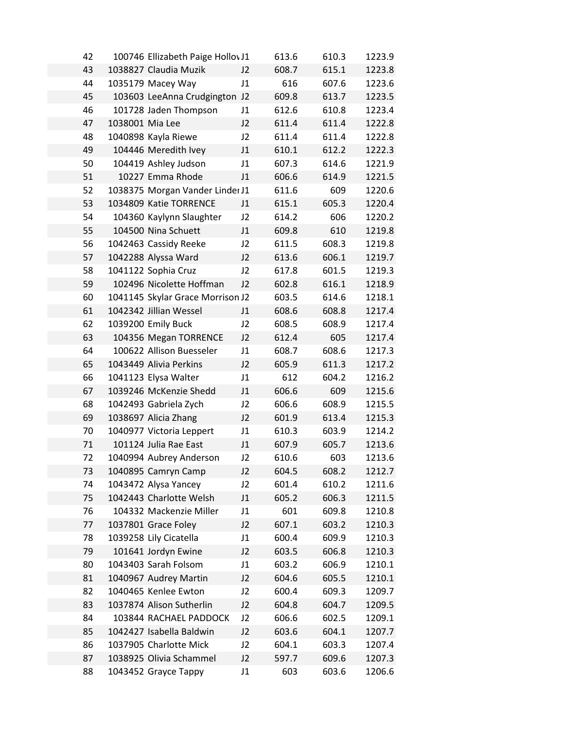| 42 |                 | 100746 Ellizabeth Paige Hollov J1 |                | 613.6 | 610.3 | 1223.9 |
|----|-----------------|-----------------------------------|----------------|-------|-------|--------|
| 43 |                 | 1038827 Claudia Muzik             | J2             | 608.7 | 615.1 | 1223.8 |
| 44 |                 | 1035179 Macey Way                 | J1             | 616   | 607.6 | 1223.6 |
| 45 |                 | 103603 LeeAnna Crudgington        | J <sub>2</sub> | 609.8 | 613.7 | 1223.5 |
| 46 |                 | 101728 Jaden Thompson             | J1             | 612.6 | 610.8 | 1223.4 |
| 47 | 1038001 Mia Lee |                                   | J2             | 611.4 | 611.4 | 1222.8 |
| 48 |                 | 1040898 Kayla Riewe               | J2             | 611.4 | 611.4 | 1222.8 |
| 49 |                 | 104446 Meredith Ivey              | J1             | 610.1 | 612.2 | 1222.3 |
| 50 |                 | 104419 Ashley Judson              | J1             | 607.3 | 614.6 | 1221.9 |
| 51 |                 | 10227 Emma Rhode                  | J1             | 606.6 | 614.9 | 1221.5 |
| 52 |                 | 1038375 Morgan Vander Linder J1   |                | 611.6 | 609   | 1220.6 |
| 53 |                 | 1034809 Katie TORRENCE            | J1             | 615.1 | 605.3 | 1220.4 |
| 54 |                 | 104360 Kaylynn Slaughter          | J2             | 614.2 | 606   | 1220.2 |
| 55 |                 | 104500 Nina Schuett               | J1             | 609.8 | 610   | 1219.8 |
| 56 |                 | 1042463 Cassidy Reeke             | J2             | 611.5 | 608.3 | 1219.8 |
| 57 |                 | 1042288 Alyssa Ward               | J2             | 613.6 | 606.1 | 1219.7 |
| 58 |                 | 1041122 Sophia Cruz               | J2             | 617.8 | 601.5 | 1219.3 |
| 59 |                 | 102496 Nicolette Hoffman          | J2             | 602.8 | 616.1 | 1218.9 |
| 60 |                 | 1041145 Skylar Grace Morrison J2  |                | 603.5 | 614.6 | 1218.1 |
| 61 |                 | 1042342 Jillian Wessel            | J1             | 608.6 | 608.8 | 1217.4 |
| 62 |                 | 1039200 Emily Buck                | J2             | 608.5 | 608.9 | 1217.4 |
| 63 |                 | 104356 Megan TORRENCE             | J2             | 612.4 | 605   | 1217.4 |
| 64 |                 | 100622 Allison Buesseler          | J1             | 608.7 | 608.6 | 1217.3 |
| 65 |                 | 1043449 Alivia Perkins            | J2             | 605.9 | 611.3 | 1217.2 |
| 66 |                 | 1041123 Elysa Walter              | J1             | 612   | 604.2 | 1216.2 |
| 67 |                 | 1039246 McKenzie Shedd            | J1             | 606.6 | 609   | 1215.6 |
| 68 |                 | 1042493 Gabriela Zych             | J2             | 606.6 | 608.9 | 1215.5 |
| 69 |                 | 1038697 Alicia Zhang              | J2             | 601.9 | 613.4 | 1215.3 |
| 70 |                 | 1040977 Victoria Leppert          | J1             | 610.3 | 603.9 | 1214.2 |
| 71 |                 | 101124 Julia Rae East             | J1             | 607.9 | 605.7 | 1213.6 |
| 72 |                 | 1040994 Aubrey Anderson           | J2             | 610.6 | 603   | 1213.6 |
| 73 |                 | 1040895 Camryn Camp               | J2             | 604.5 | 608.2 | 1212.7 |
| 74 |                 | 1043472 Alysa Yancey              | J2             | 601.4 | 610.2 | 1211.6 |
| 75 |                 | 1042443 Charlotte Welsh           | J1             | 605.2 | 606.3 | 1211.5 |
| 76 |                 | 104332 Mackenzie Miller           | J1             | 601   | 609.8 | 1210.8 |
| 77 |                 | 1037801 Grace Foley               | J2             | 607.1 | 603.2 | 1210.3 |
| 78 |                 | 1039258 Lily Cicatella            | J1             | 600.4 | 609.9 | 1210.3 |
| 79 |                 | 101641 Jordyn Ewine               | J2             | 603.5 | 606.8 | 1210.3 |
| 80 |                 | 1043403 Sarah Folsom              | J1             | 603.2 | 606.9 | 1210.1 |
| 81 |                 | 1040967 Audrey Martin             | J2             | 604.6 | 605.5 | 1210.1 |
| 82 |                 | 1040465 Kenlee Ewton              | J2             | 600.4 | 609.3 | 1209.7 |
| 83 |                 | 1037874 Alison Sutherlin          | J2             | 604.8 | 604.7 | 1209.5 |
| 84 |                 | 103844 RACHAEL PADDOCK            | J2             | 606.6 | 602.5 | 1209.1 |
| 85 |                 | 1042427 Isabella Baldwin          | J2             | 603.6 | 604.1 | 1207.7 |
| 86 |                 | 1037905 Charlotte Mick            | J2             | 604.1 | 603.3 | 1207.4 |
| 87 |                 | 1038925 Olivia Schammel           | J <sub>2</sub> | 597.7 | 609.6 | 1207.3 |
| 88 |                 | 1043452 Grayce Tappy              | J1             | 603   | 603.6 | 1206.6 |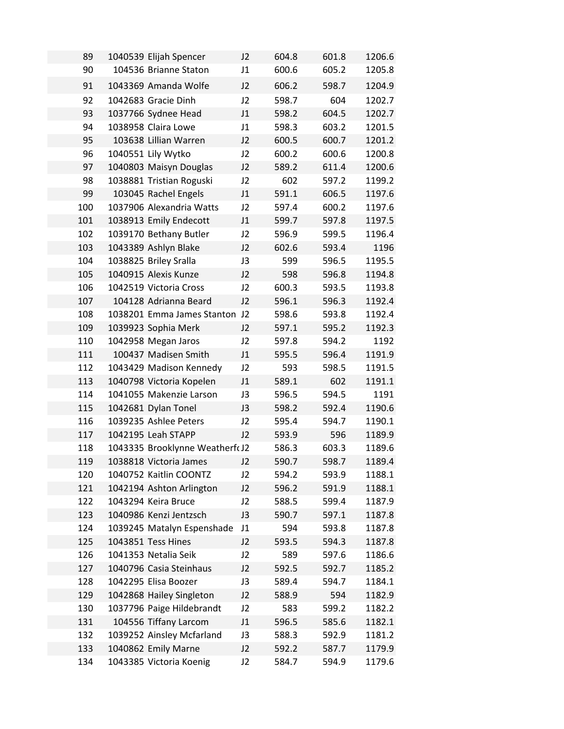| 89  | 1040539 Elijah Spencer          | J2             | 604.8 | 601.8 | 1206.6 |
|-----|---------------------------------|----------------|-------|-------|--------|
| 90  | 104536 Brianne Staton           | J1             | 600.6 | 605.2 | 1205.8 |
| 91  | 1043369 Amanda Wolfe            | J2             | 606.2 | 598.7 | 1204.9 |
| 92  | 1042683 Gracie Dinh             | J2             | 598.7 | 604   | 1202.7 |
| 93  | 1037766 Sydnee Head             | J1             | 598.2 | 604.5 | 1202.7 |
| 94  | 1038958 Claira Lowe             | J1             | 598.3 | 603.2 | 1201.5 |
| 95  | 103638 Lillian Warren           | J2             | 600.5 | 600.7 | 1201.2 |
| 96  | 1040551 Lily Wytko              | J2             | 600.2 | 600.6 | 1200.8 |
| 97  | 1040803 Maisyn Douglas          | J2             | 589.2 | 611.4 | 1200.6 |
| 98  | 1038881 Tristian Roguski        | J2             | 602   | 597.2 | 1199.2 |
| 99  | 103045 Rachel Engels            | J1             | 591.1 | 606.5 | 1197.6 |
| 100 | 1037906 Alexandria Watts        | J2             | 597.4 | 600.2 | 1197.6 |
| 101 | 1038913 Emily Endecott          | J1             | 599.7 | 597.8 | 1197.5 |
| 102 | 1039170 Bethany Butler          | J2             | 596.9 | 599.5 | 1196.4 |
| 103 | 1043389 Ashlyn Blake            | J2             | 602.6 | 593.4 | 1196   |
| 104 | 1038825 Briley Sralla           | J3             | 599   | 596.5 | 1195.5 |
| 105 | 1040915 Alexis Kunze            | J2             | 598   | 596.8 | 1194.8 |
| 106 | 1042519 Victoria Cross          | J2             | 600.3 | 593.5 | 1193.8 |
| 107 | 104128 Adrianna Beard           | J2             | 596.1 | 596.3 | 1192.4 |
| 108 | 1038201 Emma James Stanton J2   |                | 598.6 | 593.8 | 1192.4 |
| 109 | 1039923 Sophia Merk             | J2             | 597.1 | 595.2 | 1192.3 |
| 110 | 1042958 Megan Jaros             | J2             | 597.8 | 594.2 | 1192   |
| 111 | 100437 Madisen Smith            | J1             | 595.5 | 596.4 | 1191.9 |
| 112 | 1043429 Madison Kennedy         | J2             | 593   | 598.5 | 1191.5 |
| 113 | 1040798 Victoria Kopelen        | J1             | 589.1 | 602   | 1191.1 |
| 114 | 1041055 Makenzie Larson         | J3             | 596.5 | 594.5 | 1191   |
| 115 | 1042681 Dylan Tonel             | J3             | 598.2 | 592.4 | 1190.6 |
| 116 | 1039235 Ashlee Peters           | J2             | 595.4 | 594.7 | 1190.1 |
| 117 | 1042195 Leah STAPP              | J2             | 593.9 | 596   | 1189.9 |
| 118 | 1043335 Brooklynne Weatherfc J2 |                | 586.3 | 603.3 | 1189.6 |
| 119 | 1038818 Victoria James          | J <sub>2</sub> | 590.7 | 598.7 | 1189.4 |
| 120 | 1040752 Kaitlin COONTZ          | J2             | 594.2 | 593.9 | 1188.1 |
| 121 | 1042194 Ashton Arlington        | J2             | 596.2 | 591.9 | 1188.1 |
| 122 | 1043294 Keira Bruce             | J2             | 588.5 | 599.4 | 1187.9 |
| 123 | 1040986 Kenzi Jentzsch          | J3             | 590.7 | 597.1 | 1187.8 |
| 124 | 1039245 Matalyn Espenshade      | J1             | 594   | 593.8 | 1187.8 |
| 125 | 1043851 Tess Hines              | J2             | 593.5 | 594.3 | 1187.8 |
| 126 | 1041353 Netalia Seik            | J2             | 589   | 597.6 | 1186.6 |
| 127 | 1040796 Casia Steinhaus         | J2             | 592.5 | 592.7 | 1185.2 |
| 128 | 1042295 Elisa Boozer            | J3             | 589.4 | 594.7 | 1184.1 |
| 129 | 1042868 Hailey Singleton        | J2             | 588.9 | 594   | 1182.9 |
| 130 | 1037796 Paige Hildebrandt       | J2             | 583   | 599.2 | 1182.2 |
| 131 | 104556 Tiffany Larcom           | J1             | 596.5 | 585.6 | 1182.1 |
| 132 | 1039252 Ainsley Mcfarland       | J3             | 588.3 | 592.9 | 1181.2 |
| 133 | 1040862 Emily Marne             | J2             | 592.2 | 587.7 | 1179.9 |
| 134 | 1043385 Victoria Koenig         | J2             | 584.7 | 594.9 | 1179.6 |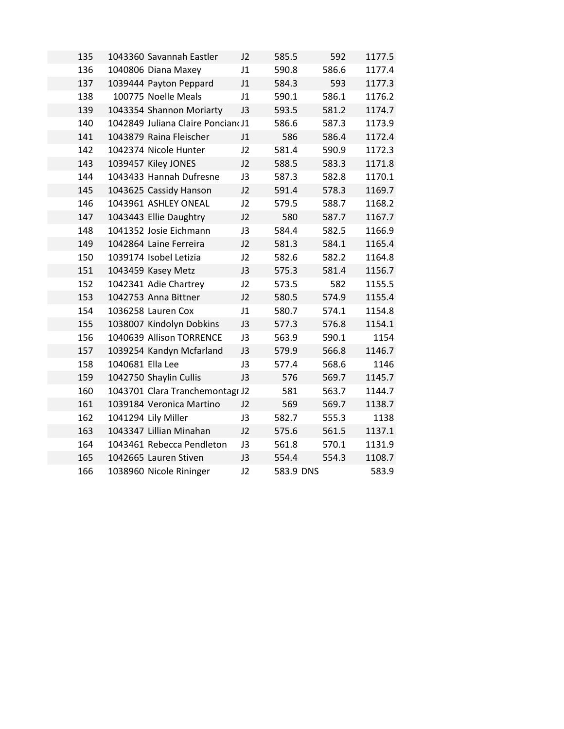| 135 |                  | 1043360 Savannah Eastler          | J2 | 585.5     | 592   | 1177.5 |
|-----|------------------|-----------------------------------|----|-----------|-------|--------|
| 136 |                  | 1040806 Diana Maxey               | J1 | 590.8     | 586.6 | 1177.4 |
| 137 |                  | 1039444 Payton Peppard            | J1 | 584.3     | 593   | 1177.3 |
| 138 |                  | 100775 Noelle Meals               | J1 | 590.1     | 586.1 | 1176.2 |
| 139 |                  | 1043354 Shannon Moriarty          | J3 | 593.5     | 581.2 | 1174.7 |
| 140 |                  | 1042849 Juliana Claire Poncian(J1 |    | 586.6     | 587.3 | 1173.9 |
| 141 |                  | 1043879 Raina Fleischer           | J1 | 586       | 586.4 | 1172.4 |
| 142 |                  | 1042374 Nicole Hunter             | J2 | 581.4     | 590.9 | 1172.3 |
| 143 |                  | 1039457 Kiley JONES               | J2 | 588.5     | 583.3 | 1171.8 |
| 144 |                  | 1043433 Hannah Dufresne           | J3 | 587.3     | 582.8 | 1170.1 |
| 145 |                  | 1043625 Cassidy Hanson            | J2 | 591.4     | 578.3 | 1169.7 |
| 146 |                  | 1043961 ASHLEY ONEAL              | J2 | 579.5     | 588.7 | 1168.2 |
| 147 |                  | 1043443 Ellie Daughtry            | J2 | 580       | 587.7 | 1167.7 |
| 148 |                  | 1041352 Josie Eichmann            | J3 | 584.4     | 582.5 | 1166.9 |
| 149 |                  | 1042864 Laine Ferreira            | J2 | 581.3     | 584.1 | 1165.4 |
| 150 |                  | 1039174 Isobel Letizia            | J2 | 582.6     | 582.2 | 1164.8 |
| 151 |                  | 1043459 Kasey Metz                | J3 | 575.3     | 581.4 | 1156.7 |
| 152 |                  | 1042341 Adie Chartrey             | J2 | 573.5     | 582   | 1155.5 |
| 153 |                  | 1042753 Anna Bittner              | J2 | 580.5     | 574.9 | 1155.4 |
| 154 |                  | 1036258 Lauren Cox                | J1 | 580.7     | 574.1 | 1154.8 |
| 155 |                  | 1038007 Kindolyn Dobkins          | J3 | 577.3     | 576.8 | 1154.1 |
| 156 |                  | 1040639 Allison TORRENCE          | J3 | 563.9     | 590.1 | 1154   |
| 157 |                  | 1039254 Kandyn Mcfarland          | J3 | 579.9     | 566.8 | 1146.7 |
| 158 | 1040681 Ella Lee |                                   | J3 | 577.4     | 568.6 | 1146   |
| 159 |                  | 1042750 Shaylin Cullis            | J3 | 576       | 569.7 | 1145.7 |
| 160 |                  | 1043701 Clara Tranchemontagr J2   |    | 581       | 563.7 | 1144.7 |
| 161 |                  | 1039184 Veronica Martino          | J2 | 569       | 569.7 | 1138.7 |
| 162 |                  | 1041294 Lily Miller               | J3 | 582.7     | 555.3 | 1138   |
| 163 |                  | 1043347 Lillian Minahan           | J2 | 575.6     | 561.5 | 1137.1 |
| 164 |                  | 1043461 Rebecca Pendleton         | J3 | 561.8     | 570.1 | 1131.9 |
| 165 |                  | 1042665 Lauren Stiven             | J3 | 554.4     | 554.3 | 1108.7 |
| 166 |                  | 1038960 Nicole Rininger           | J2 | 583.9 DNS |       | 583.9  |
|     |                  |                                   |    |           |       |        |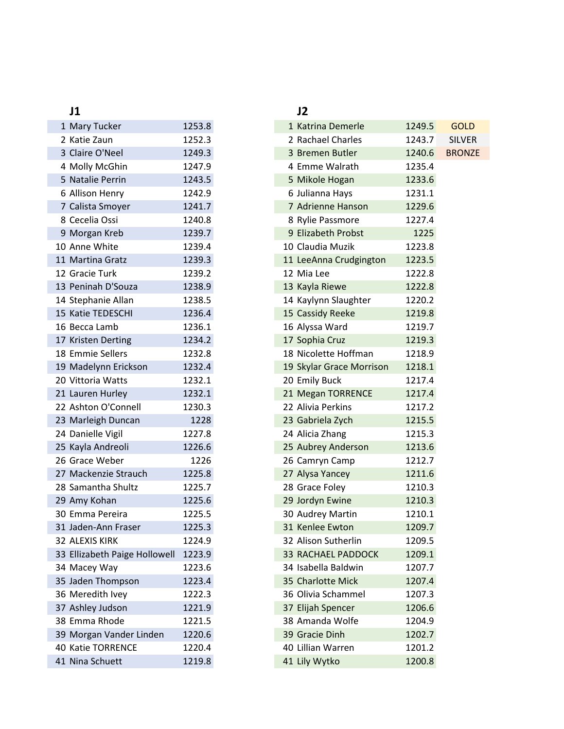| 1 Mary Tucker                 | 1253.8 |
|-------------------------------|--------|
| 2 Katie Zaun                  | 1252.3 |
| 3 Claire O'Neel               | 1249.3 |
| 4 Molly McGhin                | 1247.9 |
| 5 Natalie Perrin              | 1243.5 |
| 6 Allison Henry               | 1242.9 |
| 7 Calista Smoyer              | 1241.7 |
| 8 Cecelia Ossi                | 1240.8 |
| 9 Morgan Kreb                 | 1239.7 |
| 10 Anne White                 | 1239.4 |
| 11 Martina Gratz              | 1239.3 |
| 12 Gracie Turk                | 1239.2 |
| 13 Peninah D'Souza            | 1238.9 |
| 14 Stephanie Allan            | 1238.5 |
| 15 Katie TEDESCHI             | 1236.4 |
| 16 Becca Lamb                 | 1236.1 |
| 17 Kristen Derting            | 1234.2 |
| 18 Emmie Sellers              | 1232.8 |
| 19 Madelynn Erickson          | 1232.4 |
| 20 Vittoria Watts             | 1232.1 |
| 21 Lauren Hurley              | 1232.1 |
| 22 Ashton O'Connell           | 1230.3 |
| 23 Marleigh Duncan            | 1228   |
| 24 Danielle Vigil             | 1227.8 |
| 25 Kayla Andreoli             | 1226.6 |
| 26 Grace Weber                | 1226   |
| 27 Mackenzie Strauch          | 1225.8 |
| 28 Samantha Shultz            | 1225.7 |
| 29 Amy Kohan                  | 1225.6 |
| 30 Emma Pereira               | 1225.5 |
| 31 Jaden-Ann Fraser           | 1225.3 |
| 32 ALEXIS KIRK                | 1224.9 |
| 33 Ellizabeth Paige Hollowell | 1223.9 |
| 34 Macey Way                  | 1223.6 |
| 35 Jaden Thompson             | 1223.4 |
| 36 Meredith Ivey              | 1222.3 |
| 37 Ashley Judson              | 1221.9 |
| 38 Emma Rhode                 | 1221.5 |
| 39 Morgan Vander Linden       | 1220.6 |
| 40 Katie TORRENCE             | 1220.4 |
| 41 Nina Schuett               | 1219.8 |

### **J1 J2** 1 Katrina Demerle 1249.5 GOLD 2 Rachael Charles 1243.7 SILVER 3 Bremen Butler 1240.6 BRONZE 4 Emme Walrath 1235.4 5 Mikole Hogan 1233.6 6 Julianna Hays 1231.1 7 Adrienne Hanson 1229.6 8 Rylie Passmore 1227.4 9 Elizabeth Probst 1225 10 Claudia Muzik 1223.8 11 LeeAnna Crudgington 1223.5 12 Mia Lee 1222.8 13 Kayla Riewe 1222.8 14 Kaylynn Slaughter 1220.2 15 Cassidy Reeke 1219.8 16 Alyssa Ward 1219.7 17 Sophia Cruz 1219.3 18 Nicolette Hoffman 1218.9 19 Skylar Grace Morrison 1218.1 20 Emily Buck 1217.4 21 Megan TORRENCE 1217.4 22 Alivia Perkins 1217.2 23 Gabriela Zych 1215.5 24 Alicia Zhang 1215.3 25 Aubrey Anderson 1213.6 26 Camryn Camp 1212.7 27 Alysa Yancey 1211.6 28 Grace Foley 1210.3 29 Jordyn Ewine 1210.3 30 Audrey Martin 1210.1 31 Kenlee Ewton 1209.7 32 Alison Sutherlin 1209.5 33 RACHAEL PADDOCK 1209.1 34 Isabella Baldwin 1207.7 35 Charlotte Mick 1207.4 36 Olivia Schammel 1207.3 37 Elijah Spencer 1206.6 38 Amanda Wolfe 1204.9 39 Gracie Dinh 1202.7 40 Lillian Warren 1201.2 41 Lily Wytko 1200.8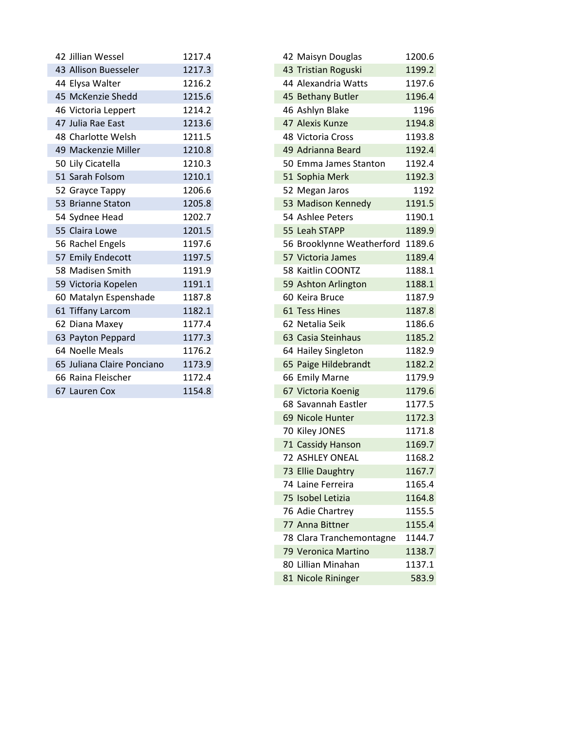| 42 Jillian Wessel          | 1217.4 |
|----------------------------|--------|
| 43 Allison Buesseler       | 1217.3 |
| 44 Elysa Walter            | 1216.2 |
| 45 McKenzie Shedd          | 1215.6 |
|                            | 1214.2 |
| 46 Victoria Leppert        |        |
| 47 Julia Rae East          | 1213.6 |
| 48 Charlotte Welsh         | 1211.5 |
| 49 Mackenzie Miller        | 1210.8 |
| 50 Lily Cicatella          | 1210.3 |
| 51 Sarah Folsom            | 1210.1 |
| 52 Grayce Tappy            | 1206.6 |
| 53 Brianne Staton          | 1205.8 |
| 54 Sydnee Head             | 1202.7 |
| 55 Claira Lowe             | 1201.5 |
| 56 Rachel Engels           | 1197.6 |
| 57 Emily Endecott          | 1197.5 |
| 58 Madisen Smith           | 1191.9 |
| 59 Victoria Kopelen        | 1191.1 |
| 60 Matalyn Espenshade      | 1187.8 |
| 61 Tiffany Larcom          | 1182.1 |
| 62 Diana Maxey             | 1177.4 |
| 63 Payton Peppard          | 1177.3 |
| 64 Noelle Meals            | 1176.2 |
| 65 Juliana Claire Ponciano | 1173.9 |
| 66 Raina Fleischer         | 1172.4 |
| 67 Lauren Cox              | 1154.8 |

| 42 Jillian Wessel          | 1217.4 | 42 Maisyn Douglas         | 1200.6 |
|----------------------------|--------|---------------------------|--------|
| 43 Allison Buesseler       | 1217.3 | 43 Tristian Roguski       | 1199.2 |
| 44 Elysa Walter            | 1216.2 | 44 Alexandria Watts       | 1197.6 |
| 45 McKenzie Shedd          | 1215.6 | 45 Bethany Butler         | 1196.4 |
| 46 Victoria Leppert        | 1214.2 | 46 Ashlyn Blake           | 1196   |
| 47 Julia Rae East          | 1213.6 | 47 Alexis Kunze           | 1194.8 |
| 48 Charlotte Welsh         | 1211.5 | 48 Victoria Cross         | 1193.8 |
| 49 Mackenzie Miller        | 1210.8 | 49 Adrianna Beard         | 1192.4 |
| 50 Lily Cicatella          | 1210.3 | 50 Emma James Stanton     | 1192.4 |
| 51 Sarah Folsom            | 1210.1 | 51 Sophia Merk            | 1192.3 |
| 52 Grayce Tappy            | 1206.6 | 52 Megan Jaros            | 1192   |
| 53 Brianne Staton          | 1205.8 | 53 Madison Kennedy        | 1191.5 |
| 54 Sydnee Head             | 1202.7 | 54 Ashlee Peters          | 1190.1 |
| 55 Claira Lowe             | 1201.5 | 55 Leah STAPP             | 1189.9 |
| 56 Rachel Engels           | 1197.6 | 56 Brooklynne Weatherford | 1189.6 |
| 57 Emily Endecott          | 1197.5 | 57 Victoria James         | 1189.4 |
| 58 Madisen Smith           | 1191.9 | 58 Kaitlin COONTZ         | 1188.1 |
| 59 Victoria Kopelen        | 1191.1 | 59 Ashton Arlington       | 1188.1 |
| 60 Matalyn Espenshade      | 1187.8 | 60 Keira Bruce            | 1187.9 |
| 61 Tiffany Larcom          | 1182.1 | 61 Tess Hines             | 1187.8 |
| 62 Diana Maxey             | 1177.4 | 62 Netalia Seik           | 1186.6 |
| 63 Payton Peppard          | 1177.3 | 63 Casia Steinhaus        | 1185.2 |
| 64 Noelle Meals            | 1176.2 | 64 Hailey Singleton       | 1182.9 |
| 65 Juliana Claire Ponciano | 1173.9 | 65 Paige Hildebrandt      | 1182.2 |
| 66 Raina Fleischer         | 1172.4 | 66 Emily Marne            | 1179.9 |
| 67 Lauren Cox              | 1154.8 | 67 Victoria Koenig        | 1179.6 |
|                            |        | 68 Savannah Eastler       | 1177.5 |
|                            |        | 69 Nicole Hunter          | 1172.3 |
|                            |        | 70 Kiley JONES            | 1171.8 |
|                            |        | 71 Cassidy Hanson         | 1169.7 |
|                            |        | <b>72 ASHLEY ONEAL</b>    | 1168.2 |
|                            |        | 73 Ellie Daughtry         | 1167.7 |
|                            |        | 74 Laine Ferreira         | 1165.4 |
|                            |        | 75 Isobel Letizia         | 1164.8 |
|                            |        | 76 Adie Chartrey          | 1155.5 |
|                            |        | 77 Anna Bittner           | 1155.4 |
|                            |        | 78 Clara Tranchemontagne  | 1144.7 |
|                            |        | 79 Veronica Martino       | 1138.7 |
|                            |        | 80 Lillian Minahan        | 1137.1 |
|                            |        | 81 Nicole Rininger        | 583.9  |
|                            |        |                           |        |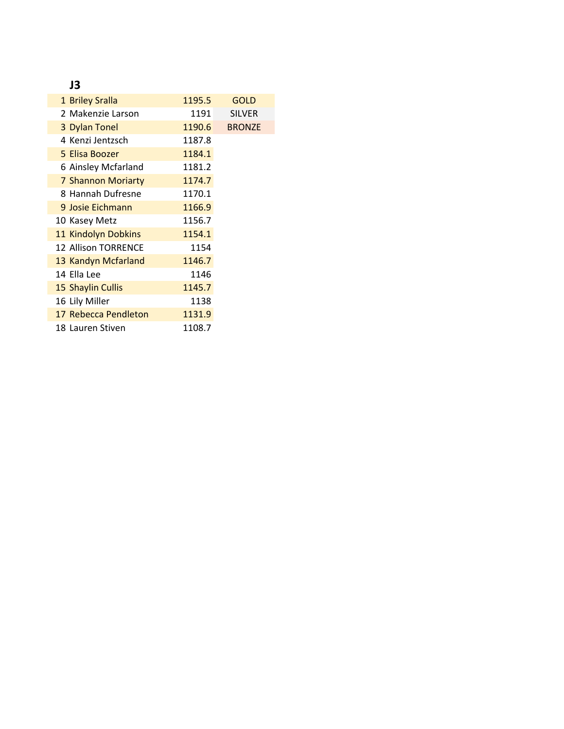## **J3**

| 1 Briley Sralla           | 1195.5 | <b>GOLD</b>   |
|---------------------------|--------|---------------|
| 2 Makenzie Larson         | 1191   | <b>SILVER</b> |
| 3 Dylan Tonel             | 1190.6 | <b>BRONZE</b> |
| 4 Kenzi Jentzsch          | 1187.8 |               |
| 5 Elisa Boozer            | 1184.1 |               |
| 6 Ainsley Mcfarland       | 1181.2 |               |
| <b>7 Shannon Moriarty</b> | 1174.7 |               |
| 8 Hannah Dufresne         | 1170.1 |               |
| 9 Josie Eichmann          | 1166.9 |               |
| 10 Kasey Metz             | 1156.7 |               |
| 11 Kindolyn Dobkins       | 1154.1 |               |
| 12 Allison TORRENCE       | 1154   |               |
| 13 Kandyn Mcfarland       | 1146.7 |               |
| 14 Ella Lee               | 1146   |               |
| 15 Shaylin Cullis         | 1145.7 |               |
| 16 Lily Miller            | 1138   |               |
| 17 Rebecca Pendleton      | 1131.9 |               |
| 18 Lauren Stiven          | 1108.7 |               |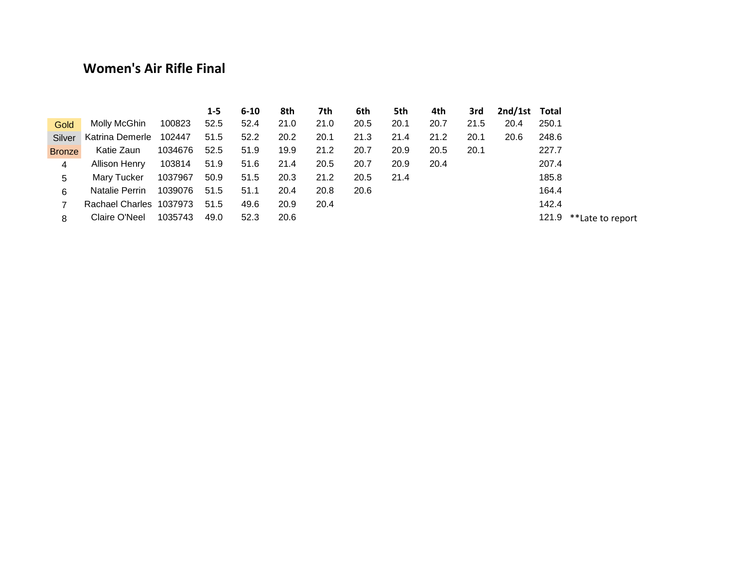## **Women's Air Rifle Final**

|               |                         |         | 1-5  | $6 - 10$ | 8th  | 7th  | 6th  | 5th  | 4th  | 3rd  | 2nd/1st Total |       |                  |
|---------------|-------------------------|---------|------|----------|------|------|------|------|------|------|---------------|-------|------------------|
| Gold          | Molly McGhin            | 100823  | 52.5 | 52.4     | 21.0 | 21.0 | 20.5 | 20.1 | 20.7 | 21.5 | 20.4          | 250.1 |                  |
| Silver        | Katrina Demerle 102447  |         | 51.5 | 52.2     | 20.2 | 20.1 | 21.3 | 21.4 | 21.2 | 20.1 | 20.6          | 248.6 |                  |
| <b>Bronze</b> | Katie Zaun              | 1034676 | 52.5 | 51.9     | 19.9 | 21.2 | 20.7 | 20.9 | 20.5 | 20.1 |               | 227.7 |                  |
| 4             | Allison Henry           | 103814  | 51.9 | 51.6     | 21.4 | 20.5 | 20.7 | 20.9 | 20.4 |      |               | 207.4 |                  |
| 5.            | Mary Tucker             | 1037967 | 50.9 | 51.5     | 20.3 | 21.2 | 20.5 | 21.4 |      |      |               | 185.8 |                  |
| 6             | Natalie Perrin          | 1039076 | 51.5 | 51.1     | 20.4 | 20.8 | 20.6 |      |      |      |               | 164.4 |                  |
|               | Rachael Charles 1037973 |         | 51.5 | 49.6     | 20.9 | 20.4 |      |      |      |      |               | 142.4 |                  |
| 8             | Claire O'Neel           | 1035743 | 49.0 | 52.3     | 20.6 |      |      |      |      |      |               | 121.9 | **Late to report |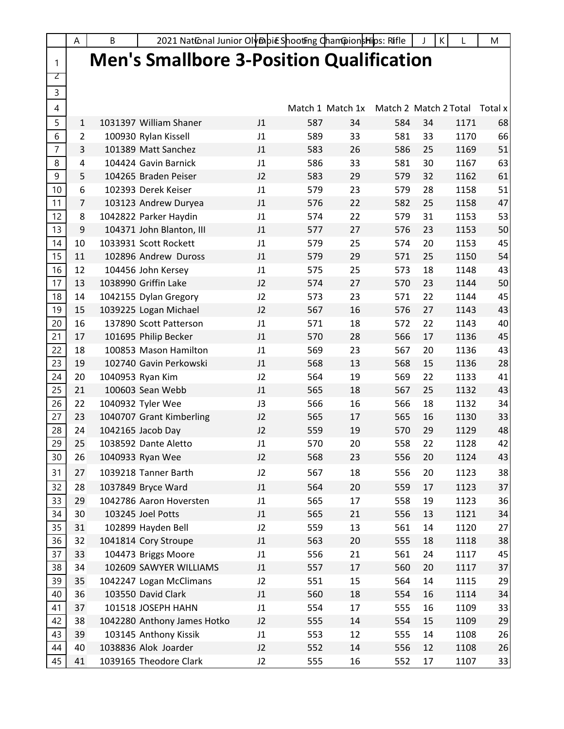|                | A              | B | 2021 Nat@nal Junior Oly®pic ShootFing Cham@ionsHips: Rifle |    |                  |    |                       |    | K    | M       |
|----------------|----------------|---|------------------------------------------------------------|----|------------------|----|-----------------------|----|------|---------|
| 1              |                |   | <b>Men's Smallbore 3-Position Qualification</b>            |    |                  |    |                       |    |      |         |
| 2              |                |   |                                                            |    |                  |    |                       |    |      |         |
| 3              |                |   |                                                            |    |                  |    |                       |    |      |         |
| 4              |                |   |                                                            |    | Match 1 Match 1x |    | Match 2 Match 2 Total |    |      | Total x |
| 5              | 1              |   | 1031397 William Shaner                                     | J1 | 587              | 34 | 584                   | 34 | 1171 | 68      |
| 6              | $\overline{2}$ |   | 100930 Rylan Kissell                                       | J1 | 589              | 33 | 581                   | 33 | 1170 | 66      |
| $\overline{7}$ | 3              |   | 101389 Matt Sanchez                                        | J1 | 583              | 26 | 586                   | 25 | 1169 | 51      |
| 8              | 4              |   | 104424 Gavin Barnick                                       | J1 | 586              | 33 | 581                   | 30 | 1167 | 63      |
| 9              | 5              |   | 104265 Braden Peiser                                       | J2 | 583              | 29 | 579                   | 32 | 1162 | 61      |
| 10             | 6              |   | 102393 Derek Keiser                                        | J1 | 579              | 23 | 579                   | 28 | 1158 | 51      |
| 11             | 7              |   | 103123 Andrew Duryea                                       | J1 | 576              | 22 | 582                   | 25 | 1158 | 47      |
| 12             | 8              |   | 1042822 Parker Haydin                                      | J1 | 574              | 22 | 579                   | 31 | 1153 | 53      |
| 13             | 9              |   | 104371 John Blanton, III                                   | J1 | 577              | 27 | 576                   | 23 | 1153 | 50      |
| 14             | 10             |   | 1033931 Scott Rockett                                      | J1 | 579              | 25 | 574                   | 20 | 1153 | 45      |
| 15             | 11             |   | 102896 Andrew Duross                                       | J1 | 579              | 29 | 571                   | 25 | 1150 | 54      |
| 16             | 12             |   | 104456 John Kersey                                         | J1 | 575              | 25 | 573                   | 18 | 1148 | 43      |
| 17             | 13             |   | 1038990 Griffin Lake                                       | J2 | 574              | 27 | 570                   | 23 | 1144 | 50      |
| 18             | 14             |   | 1042155 Dylan Gregory                                      | J2 | 573              | 23 | 571                   | 22 | 1144 | 45      |
| 19             | 15             |   | 1039225 Logan Michael                                      | J2 | 567              | 16 | 576                   | 27 | 1143 | 43      |
| 20             | 16             |   | 137890 Scott Patterson                                     | J1 | 571              | 18 | 572                   | 22 | 1143 | 40      |
| 21             | 17             |   | 101695 Philip Becker                                       | J1 | 570              | 28 | 566                   | 17 | 1136 | 45      |
| 22             | 18             |   | 100853 Mason Hamilton                                      | J1 | 569              | 23 | 567                   | 20 | 1136 | 43      |
| 23             | 19             |   | 102740 Gavin Perkowski                                     | J1 | 568              | 13 | 568                   | 15 | 1136 | 28      |
| 24             | 20             |   | 1040953 Ryan Kim                                           | J2 | 564              | 19 | 569                   | 22 | 1133 | 41      |
| 25             | 21             |   | 100603 Sean Webb                                           | J1 | 565              | 18 | 567                   | 25 | 1132 | 43      |
| 26             | 22             |   | 1040932 Tyler Wee                                          | J3 | 566              | 16 | 566                   | 18 | 1132 | 34      |
| 27             | 23             |   | 1040707 Grant Kimberling                                   | J2 | 565              | 17 | 565                   | 16 | 1130 | 33      |
| 28             | 24             |   | 1042165 Jacob Day                                          | J2 | 559              | 19 | 570                   | 29 | 1129 | 48      |
| 29             | 25             |   | 1038592 Dante Aletto                                       | J1 | 570              | 20 | 558                   | 22 | 1128 | 42      |
| 30             | 26             |   | 1040933 Ryan Wee                                           | J2 | 568              | 23 | 556                   | 20 | 1124 | 43      |
| 31             | 27             |   | 1039218 Tanner Barth                                       | J2 | 567              | 18 | 556                   | 20 | 1123 | 38      |
| 32             | 28             |   | 1037849 Bryce Ward                                         | J1 | 564              | 20 | 559                   | 17 | 1123 | 37      |
| 33             | 29             |   | 1042786 Aaron Hoversten                                    | J1 | 565              | 17 | 558                   | 19 | 1123 | 36      |
| 34             | 30             |   | 103245 Joel Potts                                          | J1 | 565              | 21 | 556                   | 13 | 1121 | 34      |
| 35             | 31             |   | 102899 Hayden Bell                                         | J2 | 559              | 13 | 561                   | 14 | 1120 | 27      |
| 36             | 32             |   | 1041814 Cory Stroupe                                       | J1 | 563              | 20 | 555                   | 18 | 1118 | 38      |
| 37             | 33             |   | 104473 Briggs Moore                                        | J1 | 556              | 21 | 561                   | 24 | 1117 | 45      |
| 38             | 34             |   | 102609 SAWYER WILLIAMS                                     | J1 | 557              | 17 | 560                   | 20 | 1117 | 37      |
| 39             | 35             |   | 1042247 Logan McClimans                                    | J2 | 551              | 15 | 564                   | 14 | 1115 | 29      |
| 40             | 36             |   | 103550 David Clark                                         | J1 | 560              | 18 | 554                   | 16 | 1114 | 34      |
| 41             | 37             |   | 101518 JOSEPH HAHN                                         | J1 | 554              | 17 | 555                   | 16 | 1109 | 33      |
| 42             | 38             |   | 1042280 Anthony James Hotko                                | J2 | 555              | 14 | 554                   | 15 | 1109 | 29      |
| 43             | 39             |   | 103145 Anthony Kissik                                      | J1 | 553              | 12 | 555                   | 14 | 1108 | 26      |
| 44             | 40             |   | 1038836 Alok Joarder                                       | J2 | 552              | 14 | 556                   | 12 | 1108 | 26      |
| 45             | 41             |   | 1039165 Theodore Clark                                     | J2 | 555              | 16 | 552                   | 17 | 1107 | 33      |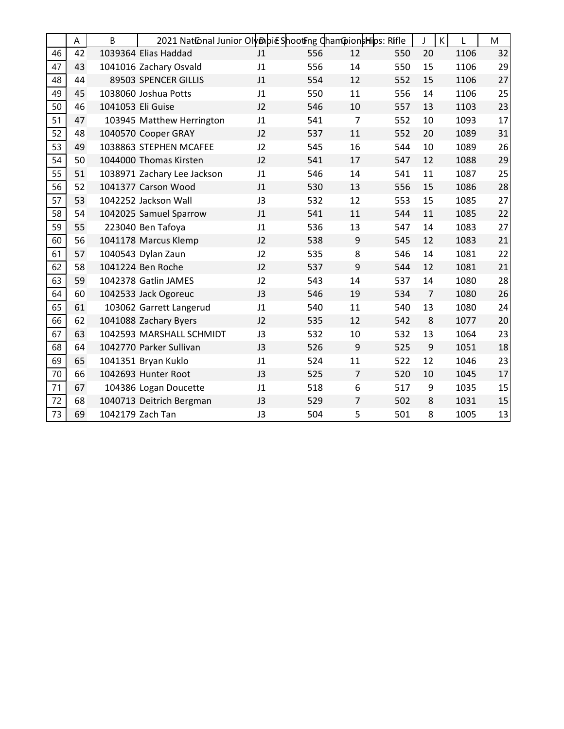|    | A  | B                 | 2021 National Junior Olymbic Shooting ChampionsHips: Rifle |                |     |                  |     |                | К    | M  |
|----|----|-------------------|------------------------------------------------------------|----------------|-----|------------------|-----|----------------|------|----|
| 46 | 42 |                   | 1039364 Elias Haddad                                       | J1             | 556 | 12               | 550 | 20             | 1106 | 32 |
| 47 | 43 |                   | 1041016 Zachary Osvald                                     | J1             | 556 | 14               | 550 | 15             | 1106 | 29 |
| 48 | 44 |                   | 89503 SPENCER GILLIS                                       | J <sub>1</sub> | 554 | 12               | 552 | 15             | 1106 | 27 |
| 49 | 45 |                   | 1038060 Joshua Potts                                       | J1             | 550 | 11               | 556 | 14             | 1106 | 25 |
| 50 | 46 | 1041053 Eli Guise |                                                            | J2             | 546 | 10               | 557 | 13             | 1103 | 23 |
| 51 | 47 |                   | 103945 Matthew Herrington                                  | J1             | 541 | $\overline{7}$   | 552 | 10             | 1093 | 17 |
| 52 | 48 |                   | 1040570 Cooper GRAY                                        | J2             | 537 | 11               | 552 | 20             | 1089 | 31 |
| 53 | 49 |                   | 1038863 STEPHEN MCAFEE                                     | J2             | 545 | 16               | 544 | 10             | 1089 | 26 |
| 54 | 50 |                   | 1044000 Thomas Kirsten                                     | J2             | 541 | 17               | 547 | 12             | 1088 | 29 |
| 55 | 51 |                   | 1038971 Zachary Lee Jackson                                | J1             | 546 | 14               | 541 | 11             | 1087 | 25 |
| 56 | 52 |                   | 1041377 Carson Wood                                        | J1             | 530 | 13               | 556 | 15             | 1086 | 28 |
| 57 | 53 |                   | 1042252 Jackson Wall                                       | J3             | 532 | 12               | 553 | 15             | 1085 | 27 |
| 58 | 54 |                   | 1042025 Samuel Sparrow                                     | J1             | 541 | 11               | 544 | 11             | 1085 | 22 |
| 59 | 55 |                   | 223040 Ben Tafoya                                          | J1             | 536 | 13               | 547 | 14             | 1083 | 27 |
| 60 | 56 |                   | 1041178 Marcus Klemp                                       | J2             | 538 | $\boldsymbol{9}$ | 545 | 12             | 1083 | 21 |
| 61 | 57 |                   | 1040543 Dylan Zaun                                         | J2             | 535 | 8                | 546 | 14             | 1081 | 22 |
| 62 | 58 |                   | 1041224 Ben Roche                                          | J2             | 537 | 9                | 544 | 12             | 1081 | 21 |
| 63 | 59 |                   | 1042378 Gatlin JAMES                                       | J2             | 543 | 14               | 537 | 14             | 1080 | 28 |
| 64 | 60 |                   | 1042533 Jack Ogoreuc                                       | J3             | 546 | 19               | 534 | $\overline{7}$ | 1080 | 26 |
| 65 | 61 |                   | 103062 Garrett Langerud                                    | J1             | 540 | 11               | 540 | 13             | 1080 | 24 |
| 66 | 62 |                   | 1041088 Zachary Byers                                      | J2             | 535 | 12               | 542 | 8              | 1077 | 20 |
| 67 | 63 |                   | 1042593 MARSHALL SCHMIDT                                   | J3             | 532 | 10               | 532 | 13             | 1064 | 23 |
| 68 | 64 |                   | 1042770 Parker Sullivan                                    | J3             | 526 | 9                | 525 | 9              | 1051 | 18 |
| 69 | 65 |                   | 1041351 Bryan Kuklo                                        | J1             | 524 | 11               | 522 | 12             | 1046 | 23 |
| 70 | 66 |                   | 1042693 Hunter Root                                        | J3             | 525 | $\overline{7}$   | 520 | 10             | 1045 | 17 |
| 71 | 67 |                   | 104386 Logan Doucette                                      | J1             | 518 | 6                | 517 | 9              | 1035 | 15 |
| 72 | 68 |                   | 1040713 Deitrich Bergman                                   | J3             | 529 | 7                | 502 | 8              | 1031 | 15 |
| 73 | 69 |                   | 1042179 Zach Tan                                           | J3             | 504 | 5                | 501 | 8              | 1005 | 13 |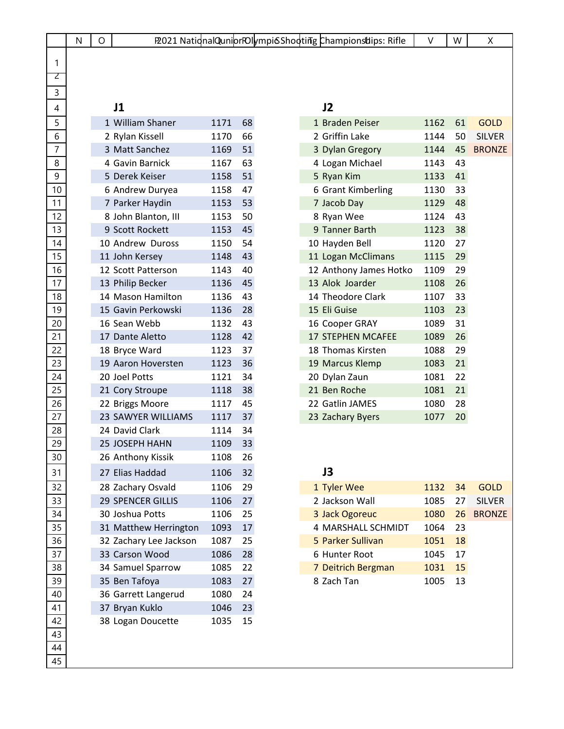|                  | N | O |                           |      |    |  | P2021 NationalQuniorPOIvmpi6Shooting ChampionsUips: Rifle | V    | W  | Χ             |
|------------------|---|---|---------------------------|------|----|--|-----------------------------------------------------------|------|----|---------------|
|                  |   |   |                           |      |    |  |                                                           |      |    |               |
| 1                |   |   |                           |      |    |  |                                                           |      |    |               |
| Z                |   |   |                           |      |    |  |                                                           |      |    |               |
| 3                |   |   |                           |      |    |  |                                                           |      |    |               |
| 4                |   |   | J1                        |      |    |  | J2                                                        |      |    |               |
| 5                |   |   | 1 William Shaner          | 1171 | 68 |  | 1 Braden Peiser                                           | 1162 | 61 | <b>GOLD</b>   |
| 6                |   |   | 2 Rylan Kissell           | 1170 | 66 |  | 2 Griffin Lake                                            | 1144 | 50 | <b>SILVER</b> |
| $\overline{7}$   |   |   | 3 Matt Sanchez            | 1169 | 51 |  | 3 Dylan Gregory                                           | 1144 | 45 | <b>BRONZE</b> |
| 8                |   |   | 4 Gavin Barnick           | 1167 | 63 |  | 4 Logan Michael                                           | 1143 | 43 |               |
| $\boldsymbol{9}$ |   |   | 5 Derek Keiser            | 1158 | 51 |  | 5 Ryan Kim                                                | 1133 | 41 |               |
| 10               |   |   | 6 Andrew Duryea           | 1158 | 47 |  | 6 Grant Kimberling                                        | 1130 | 33 |               |
| 11               |   |   | 7 Parker Haydin           | 1153 | 53 |  | 7 Jacob Day                                               | 1129 | 48 |               |
| 12               |   |   | 8 John Blanton, III       | 1153 | 50 |  | 8 Ryan Wee                                                | 1124 | 43 |               |
| 13               |   |   | 9 Scott Rockett           | 1153 | 45 |  | 9 Tanner Barth                                            | 1123 | 38 |               |
| 14               |   |   | 10 Andrew Duross          | 1150 | 54 |  | 10 Hayden Bell                                            | 1120 | 27 |               |
| 15               |   |   | 11 John Kersey            | 1148 | 43 |  | 11 Logan McClimans                                        | 1115 | 29 |               |
| 16               |   |   | 12 Scott Patterson        | 1143 | 40 |  | 12 Anthony James Hotko                                    | 1109 | 29 |               |
| 17               |   |   | 13 Philip Becker          | 1136 | 45 |  | 13 Alok Joarder                                           | 1108 | 26 |               |
| 18               |   |   | 14 Mason Hamilton         | 1136 | 43 |  | 14 Theodore Clark                                         | 1107 | 33 |               |
| 19               |   |   | 15 Gavin Perkowski        | 1136 | 28 |  | 15 Eli Guise                                              | 1103 | 23 |               |
| 20               |   |   | 16 Sean Webb              | 1132 | 43 |  | 16 Cooper GRAY                                            | 1089 | 31 |               |
| 21               |   |   | 17 Dante Aletto           | 1128 | 42 |  | <b>17 STEPHEN MCAFEE</b>                                  | 1089 | 26 |               |
| 22               |   |   | 18 Bryce Ward             | 1123 | 37 |  | 18 Thomas Kirsten                                         | 1088 | 29 |               |
| 23               |   |   | 19 Aaron Hoversten        | 1123 | 36 |  | 19 Marcus Klemp                                           | 1083 | 21 |               |
| 24               |   |   | 20 Joel Potts             | 1121 | 34 |  | 20 Dylan Zaun                                             | 1081 | 22 |               |
| 25               |   |   | 21 Cory Stroupe           | 1118 | 38 |  | 21 Ben Roche                                              | 1081 | 21 |               |
| 26               |   |   | 22 Briggs Moore           | 1117 | 45 |  | 22 Gatlin JAMES                                           | 1080 | 28 |               |
| 27               |   |   | <b>23 SAWYER WILLIAMS</b> | 1117 | 37 |  | 23 Zachary Byers                                          | 1077 | 20 |               |
| 28               |   |   | 24 David Clark            | 1114 | 34 |  |                                                           |      |    |               |
| 29               |   |   | <b>25 JOSEPH HAHN</b>     | 1109 | 33 |  |                                                           |      |    |               |
| 30               |   |   | 26 Anthony Kissik         | 1108 | 26 |  |                                                           |      |    |               |
| 31               |   |   | 27 Elias Haddad           | 1106 | 32 |  | J3                                                        |      |    |               |
| 32               |   |   | 28 Zachary Osvald         | 1106 | 29 |  | 1 Tyler Wee                                               | 1132 | 34 | <b>GOLD</b>   |
| 33               |   |   | <b>29 SPENCER GILLIS</b>  | 1106 | 27 |  | 2 Jackson Wall                                            | 1085 | 27 | <b>SILVER</b> |
| 34               |   |   | 30 Joshua Potts           | 1106 | 25 |  | 3 Jack Ogoreuc                                            | 1080 | 26 | <b>BRONZE</b> |
| 35               |   |   | 31 Matthew Herrington     | 1093 | 17 |  | 4 MARSHALL SCHMIDT                                        | 1064 | 23 |               |
| 36               |   |   | 32 Zachary Lee Jackson    | 1087 | 25 |  | 5 Parker Sullivan                                         | 1051 | 18 |               |
| 37               |   |   | 33 Carson Wood            | 1086 | 28 |  | 6 Hunter Root                                             | 1045 | 17 |               |
| 38               |   |   | 34 Samuel Sparrow         | 1085 | 22 |  | 7 Deitrich Bergman                                        | 1031 | 15 |               |
| 39               |   |   | 35 Ben Tafoya             | 1083 | 27 |  | 8 Zach Tan                                                | 1005 | 13 |               |
| 40               |   |   | 36 Garrett Langerud       | 1080 | 24 |  |                                                           |      |    |               |
| 41               |   |   | 37 Bryan Kuklo            | 1046 | 23 |  |                                                           |      |    |               |
| 42               |   |   | 38 Logan Doucette         | 1035 | 15 |  |                                                           |      |    |               |
| 43               |   |   |                           |      |    |  |                                                           |      |    |               |
| 44               |   |   |                           |      |    |  |                                                           |      |    |               |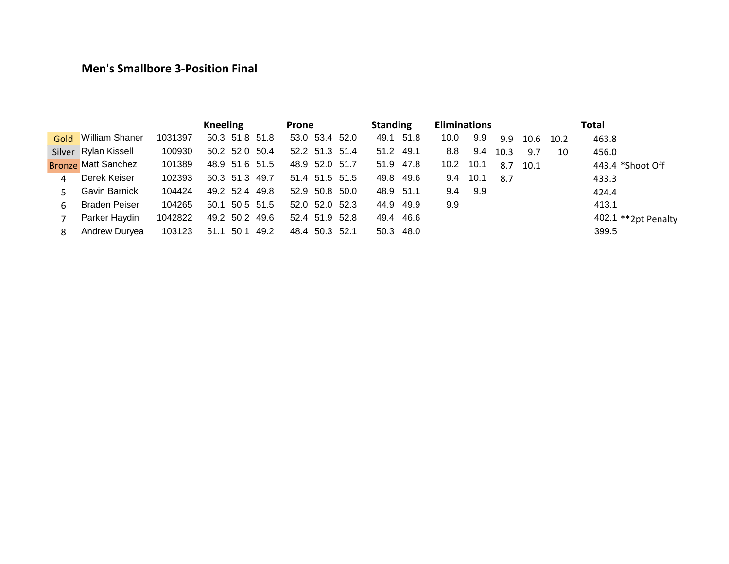### **Men's Smallbore 3-Position Final**

|      |                            |         | <b>Kneeling</b>      | Prone          | <b>Standing</b> | <b>Eliminations</b>              | Total                 |                     |
|------|----------------------------|---------|----------------------|----------------|-----------------|----------------------------------|-----------------------|---------------------|
| Gold | <b>William Shaner</b>      | 1031397 | 50.3 51.8 51.8       | 53.0 53.4 52.0 | 49.1 51.8       | 9.9<br>10.0<br>9.9               | 463.8<br>10.6<br>10.2 |                     |
|      | Silver Rylan Kissell       | 100930  | 50.2 52.0 50.4       | 52.2 51.3 51.4 | 51.2 49.1       | 8.8<br>9.4<br>10.3               | 9.7<br>456.0<br>10    |                     |
|      | <b>Bronze Matt Sanchez</b> | 101389  | 48.9 51.6 51.5       | 48.9 52.0 51.7 | 51.9 47.8       | 10.2 <sub>1</sub><br>10.1<br>8.7 | 10.1                  | 443.4 *Shoot Off    |
| 4    | Derek Keiser               | 102393  | 50.3 51.3 49.7       | 51.4 51.5 51.5 | 49.8 49.6       | 10.1<br>9.4<br>8.7               | 433.3                 |                     |
|      | Gavin Barnick              | 104424  | 49.2 52.4 49.8       | 52.9 50.8 50.0 | 48.9 51.1       | 9.9<br>9.4                       | 424.4                 |                     |
| 6    | <b>Braden Peiser</b>       | 104265  | 50.5 51.5<br>50.1    | 52.0 52.0 52.3 | 44.9 49.9       | 9.9                              | 413.1                 |                     |
|      | Parker Haydin              | 1042822 | 49.2 50.2 49.6       | 52.4 51.9 52.8 | 49.4 46.6       |                                  |                       | 402.1 **2pt Penalty |
| 8    | Andrew Duryea              | 103123  | 50.1<br>49.2<br>51.1 | 48.4 50.3 52.1 | 50.3 48.0       |                                  | 399.5                 |                     |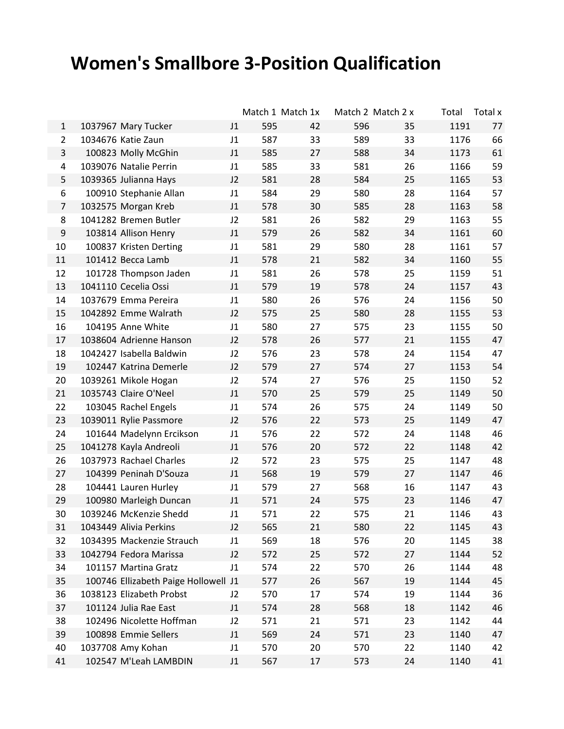# **Women's Smallbore 3-Position Qualification**

|                |                                      |                |     | Match 1 Match 1x |     | Match 2 Match 2 x | Total | Total x |
|----------------|--------------------------------------|----------------|-----|------------------|-----|-------------------|-------|---------|
| $\mathbf{1}$   | 1037967 Mary Tucker                  | J1             | 595 | 42               | 596 | 35                | 1191  | 77      |
| $\overline{2}$ | 1034676 Katie Zaun                   | J1             | 587 | 33               | 589 | 33                | 1176  | 66      |
| 3              | 100823 Molly McGhin                  | J1             | 585 | 27               | 588 | 34                | 1173  | 61      |
| 4              | 1039076 Natalie Perrin               | J1             | 585 | 33               | 581 | 26                | 1166  | 59      |
| 5              | 1039365 Julianna Hays                | J <sub>2</sub> | 581 | 28               | 584 | 25                | 1165  | 53      |
| 6              | 100910 Stephanie Allan               | J1             | 584 | 29               | 580 | 28                | 1164  | 57      |
| 7              | 1032575 Morgan Kreb                  | J <sub>1</sub> | 578 | 30               | 585 | 28                | 1163  | 58      |
| 8              | 1041282 Bremen Butler                | J2             | 581 | 26               | 582 | 29                | 1163  | 55      |
| 9              | 103814 Allison Henry                 | J <sub>1</sub> | 579 | 26               | 582 | 34                | 1161  | 60      |
| 10             | 100837 Kristen Derting               | J1             | 581 | 29               | 580 | 28                | 1161  | 57      |
| 11             | 101412 Becca Lamb                    | J1             | 578 | 21               | 582 | 34                | 1160  | 55      |
| 12             | 101728 Thompson Jaden                | J1             | 581 | 26               | 578 | 25                | 1159  | 51      |
| 13             | 1041110 Cecelia Ossi                 | J1             | 579 | 19               | 578 | 24                | 1157  | 43      |
| 14             | 1037679 Emma Pereira                 | J <sub>1</sub> | 580 | 26               | 576 | 24                | 1156  | 50      |
| 15             | 1042892 Emme Walrath                 | J2             | 575 | 25               | 580 | 28                | 1155  | 53      |
| 16             | 104195 Anne White                    | J1             | 580 | 27               | 575 | 23                | 1155  | 50      |
| 17             | 1038604 Adrienne Hanson              | J2             | 578 | 26               | 577 | 21                | 1155  | 47      |
| 18             | 1042427 Isabella Baldwin             | J2             | 576 | 23               | 578 | 24                | 1154  | 47      |
| 19             | 102447 Katrina Demerle               | J2             | 579 | 27               | 574 | 27                | 1153  | 54      |
| 20             | 1039261 Mikole Hogan                 | J2             | 574 | 27               | 576 | 25                | 1150  | 52      |
| 21             | 1035743 Claire O'Neel                | J1             | 570 | 25               | 579 | 25                | 1149  | 50      |
| 22             | 103045 Rachel Engels                 | J1             | 574 | 26               | 575 | 24                | 1149  | 50      |
| 23             | 1039011 Rylie Passmore               | J2             | 576 | 22               | 573 | 25                | 1149  | 47      |
| 24             | 101644 Madelynn Ercikson             | J1             | 576 | 22               | 572 | 24                | 1148  | 46      |
| 25             | 1041278 Kayla Andreoli               | J1             | 576 | 20               | 572 | 22                | 1148  | 42      |
| 26             | 1037973 Rachael Charles              | J2             | 572 | 23               | 575 | 25                | 1147  | 48      |
| 27             | 104399 Peninah D'Souza               | J1             | 568 | 19               | 579 | 27                | 1147  | 46      |
| 28             | 104441 Lauren Hurley                 | J <sub>1</sub> | 579 | 27               | 568 | 16                | 1147  | 43      |
| 29             | 100980 Marleigh Duncan               | J <sub>1</sub> | 571 | 24               | 575 | 23                | 1146  | 47      |
| 30             | 1039246 McKenzie Shedd               | J1             | 571 | 22               | 575 | 21                | 1146  | 43      |
| 31             | 1043449 Alivia Perkins               | J <sub>2</sub> | 565 | 21               | 580 | 22                | 1145  | 43      |
| 32             | 1034395 Mackenzie Strauch            | J1             | 569 | 18               | 576 | 20                | 1145  | 38      |
| 33             | 1042794 Fedora Marissa               | J2             | 572 | 25               | 572 | 27                | 1144  | 52      |
| 34             | 101157 Martina Gratz                 | J1             | 574 | 22               | 570 | 26                | 1144  | 48      |
| 35             | 100746 Ellizabeth Paige Hollowell J1 |                | 577 | 26               | 567 | 19                | 1144  | 45      |
| 36             | 1038123 Elizabeth Probst             | J2             | 570 | 17               | 574 | 19                | 1144  | 36      |
| 37             | 101124 Julia Rae East                | J1             | 574 | 28               | 568 | 18                | 1142  | 46      |
| 38             | 102496 Nicolette Hoffman             | J2             | 571 | 21               | 571 | 23                | 1142  | 44      |
| 39             | 100898 Emmie Sellers                 | J1             | 569 | 24               | 571 | 23                | 1140  | 47      |
| 40             | 1037708 Amy Kohan                    | J1             | 570 | 20               | 570 | 22                | 1140  | 42      |
| 41             | 102547 M'Leah LAMBDIN                | J1             | 567 | 17               | 573 | 24                | 1140  | 41      |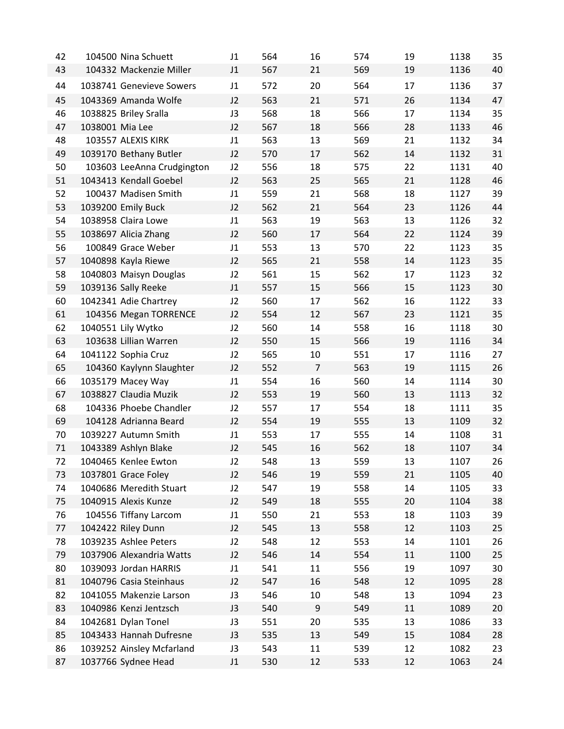| 42 | 104500 Nina Schuett        | J <sub>1</sub> | 564 | 16               | 574 | 19 | 1138 | 35 |
|----|----------------------------|----------------|-----|------------------|-----|----|------|----|
| 43 | 104332 Mackenzie Miller    | J <sub>1</sub> | 567 | 21               | 569 | 19 | 1136 | 40 |
| 44 | 1038741 Genevieve Sowers   | J1             | 572 | 20               | 564 | 17 | 1136 | 37 |
| 45 | 1043369 Amanda Wolfe       | J2             | 563 | 21               | 571 | 26 | 1134 | 47 |
| 46 | 1038825 Briley Sralla      | J3             | 568 | 18               | 566 | 17 | 1134 | 35 |
| 47 | 1038001 Mia Lee            | J2             | 567 | 18               | 566 | 28 | 1133 | 46 |
| 48 | 103557 ALEXIS KIRK         | J1             | 563 | 13               | 569 | 21 | 1132 | 34 |
| 49 | 1039170 Bethany Butler     | J2             | 570 | 17               | 562 | 14 | 1132 | 31 |
| 50 | 103603 LeeAnna Crudgington | J2             | 556 | 18               | 575 | 22 | 1131 | 40 |
| 51 | 1043413 Kendall Goebel     | J2             | 563 | 25               | 565 | 21 | 1128 | 46 |
| 52 | 100437 Madisen Smith       | J1             | 559 | 21               | 568 | 18 | 1127 | 39 |
| 53 | 1039200 Emily Buck         | J <sub>2</sub> | 562 | 21               | 564 | 23 | 1126 | 44 |
| 54 | 1038958 Claira Lowe        | J1             | 563 | 19               | 563 | 13 | 1126 | 32 |
| 55 | 1038697 Alicia Zhang       | J2             | 560 | 17               | 564 | 22 | 1124 | 39 |
| 56 | 100849 Grace Weber         | J1             | 553 | 13               | 570 | 22 | 1123 | 35 |
| 57 | 1040898 Kayla Riewe        | J2             | 565 | 21               | 558 | 14 | 1123 | 35 |
| 58 | 1040803 Maisyn Douglas     | J2             | 561 | 15               | 562 | 17 | 1123 | 32 |
| 59 | 1039136 Sally Reeke        | J1             | 557 | 15               | 566 | 15 | 1123 | 30 |
| 60 | 1042341 Adie Chartrey      | J2             | 560 | 17               | 562 | 16 | 1122 | 33 |
| 61 | 104356 Megan TORRENCE      | J2             | 554 | 12               | 567 | 23 | 1121 | 35 |
| 62 | 1040551 Lily Wytko         | J2             | 560 | 14               | 558 | 16 | 1118 | 30 |
| 63 | 103638 Lillian Warren      | J2             | 550 | 15               | 566 | 19 | 1116 | 34 |
| 64 | 1041122 Sophia Cruz        | J2             | 565 | 10               | 551 | 17 | 1116 | 27 |
| 65 | 104360 Kaylynn Slaughter   | J <sub>2</sub> | 552 | $\overline{7}$   | 563 | 19 | 1115 | 26 |
| 66 | 1035179 Macey Way          | J1             | 554 | 16               | 560 | 14 | 1114 | 30 |
| 67 | 1038827 Claudia Muzik      | J2             | 553 | 19               | 560 | 13 | 1113 | 32 |
| 68 | 104336 Phoebe Chandler     | J2             | 557 | 17               | 554 | 18 | 1111 | 35 |
| 69 | 104128 Adrianna Beard      | J2             | 554 | 19               | 555 | 13 | 1109 | 32 |
| 70 | 1039227 Autumn Smith       | J1             | 553 | 17               | 555 | 14 | 1108 | 31 |
| 71 | 1043389 Ashlyn Blake       | J2             | 545 | 16               | 562 | 18 | 1107 | 34 |
| 72 | 1040465 Kenlee Ewton       | J2             | 548 | 13               | 559 | 13 | 1107 | 26 |
| 73 | 1037801 Grace Foley        | J2             | 546 | 19               | 559 | 21 | 1105 | 40 |
| 74 | 1040686 Meredith Stuart    | J2             | 547 | 19               | 558 | 14 | 1105 | 33 |
| 75 | 1040915 Alexis Kunze       | J2             | 549 | 18               | 555 | 20 | 1104 | 38 |
| 76 | 104556 Tiffany Larcom      | J1             | 550 | 21               | 553 | 18 | 1103 | 39 |
| 77 | 1042422 Riley Dunn         | J2             | 545 | 13               | 558 | 12 | 1103 | 25 |
| 78 | 1039235 Ashlee Peters      | J2             | 548 | 12               | 553 | 14 | 1101 | 26 |
| 79 | 1037906 Alexandria Watts   | J2             | 546 | 14               | 554 | 11 | 1100 | 25 |
| 80 | 1039093 Jordan HARRIS      | J1             | 541 | 11               | 556 | 19 | 1097 | 30 |
| 81 | 1040796 Casia Steinhaus    | J2             | 547 | 16               | 548 | 12 | 1095 | 28 |
| 82 | 1041055 Makenzie Larson    | J3             | 546 | 10               | 548 | 13 | 1094 | 23 |
| 83 | 1040986 Kenzi Jentzsch     | J3             | 540 | $\boldsymbol{9}$ | 549 | 11 | 1089 | 20 |
| 84 | 1042681 Dylan Tonel        | J3             | 551 | 20               | 535 | 13 | 1086 | 33 |
| 85 | 1043433 Hannah Dufresne    | J3             | 535 | 13               | 549 | 15 | 1084 | 28 |
| 86 | 1039252 Ainsley Mcfarland  | J3             | 543 | 11               | 539 | 12 | 1082 | 23 |
| 87 | 1037766 Sydnee Head        | J1             | 530 | 12               | 533 | 12 | 1063 | 24 |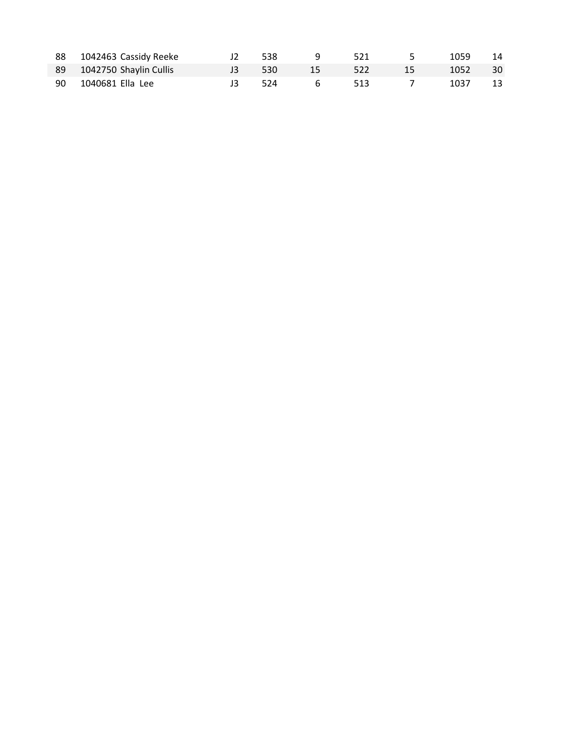| 88 1042463 Cassidy Reeke  | 538    | $\overline{q}$   | 521   | $\sim$ 5 $\sim$ | 1059 14 |  |
|---------------------------|--------|------------------|-------|-----------------|---------|--|
| 89 1042750 Shaylin Cullis | J3 530 | $\sim$ 15 $\sim$ | - 522 | $\setminus$ 15  | 1052 30 |  |
| 90 1040681 Ella Lee       | J3 524 | $6\overline{6}$  | 513   | $\overline{7}$  | 1037 13 |  |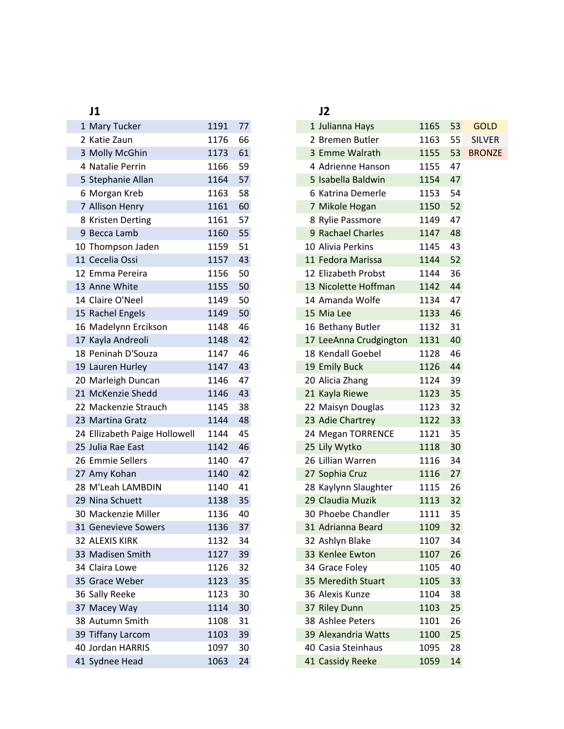| 1 Mary Tucker                 | 1191 | 77 |
|-------------------------------|------|----|
| 2 Katie Zaun                  | 1176 | 66 |
| 3 Molly McGhin                | 1173 | 61 |
| 4 Natalie Perrin              | 1166 | 59 |
| 5 Stephanie Allan             | 1164 | 57 |
| 6 Morgan Kreb                 | 1163 | 58 |
| 7 Allison Henry               | 1161 | 60 |
| 8 Kristen Derting             | 1161 | 57 |
| 9 Becca Lamb                  | 1160 | 55 |
| 10 Thompson Jaden             | 1159 | 51 |
| 11 Cecelia Ossi               | 1157 | 43 |
| 12 Emma Pereira               | 1156 | 50 |
| 13 Anne White                 | 1155 | 50 |
| 14 Claire O'Neel              | 1149 | 50 |
| 15 Rachel Engels              | 1149 | 50 |
| 16 Madelynn Ercikson          | 1148 | 46 |
| 17 Kayla Andreoli             | 1148 | 42 |
| 18 Peninah D'Souza            | 1147 | 46 |
| 19 Lauren Hurley              | 1147 | 43 |
| 20 Marleigh Duncan            | 1146 | 47 |
| 21 McKenzie Shedd             | 1146 | 43 |
| 22 Mackenzie Strauch          | 1145 | 38 |
| 23 Martina Gratz              | 1144 | 48 |
| 24 Ellizabeth Paige Hollowell | 1144 | 45 |
| 25 Julia Rae East             | 1142 | 46 |
| 26 Emmie Sellers              | 1140 | 47 |
| 27 Amy Kohan                  | 1140 | 42 |
| 28 M'Leah LAMBDIN             | 1140 | 41 |
| 29 Nina Schuett               | 1138 | 35 |
| 30 Mackenzie Miller           | 1136 | 40 |
| 31 Genevieve Sowers           | 1136 | 37 |
| 32 ALEXIS KIRK                | 1132 | 34 |
| 33 Madisen Smith              | 1127 | 39 |
| 34 Claira Lowe                | 1126 | 32 |
| 35 Grace Weber                | 1123 | 35 |
| 36 Sally Reeke                | 1123 | 30 |
| 37 Macey Way                  | 1114 | 30 |
| 38 Autumn Smith               | 1108 | 31 |
| 39 Tiffany Larcom             | 1103 | 39 |
| 40 Jordan HARRIS              | 1097 | 30 |
| 41 Sydnee Head                | 1063 | 24 |
|                               |      |    |

### **J1 J2**

| 1 Mary Tucker                | 1191 | 77 | 1 Julianna Hays        | 1165 | 53 |
|------------------------------|------|----|------------------------|------|----|
| 2 Katie Zaun                 | 1176 | 66 | 2 Bremen Butler        | 1163 | 55 |
| 3 Molly McGhin               | 1173 | 61 | 3 Emme Walrath         | 1155 | 53 |
| 4 Natalie Perrin             | 1166 | 59 | 4 Adrienne Hanson      | 1155 | 47 |
| 5 Stephanie Allan            | 1164 | 57 | 5 Isabella Baldwin     | 1154 | 47 |
| 6 Morgan Kreb                | 1163 | 58 | 6 Katrina Demerle      | 1153 | 54 |
| 7 Allison Henry              | 1161 | 60 | 7 Mikole Hogan         | 1150 | 52 |
| 8 Kristen Derting            | 1161 | 57 | 8 Rylie Passmore       | 1149 | 47 |
| 9 Becca Lamb                 | 1160 | 55 | 9 Rachael Charles      | 1147 | 48 |
| 0 Thompson Jaden             | 1159 | 51 | 10 Alivia Perkins      | 1145 | 43 |
| 1 Cecelia Ossi               | 1157 | 43 | 11 Fedora Marissa      | 1144 | 52 |
| 2 Emma Pereira               | 1156 | 50 | 12 Elizabeth Probst    | 1144 | 36 |
| 3 Anne White                 | 1155 | 50 | 13 Nicolette Hoffman   | 1142 | 44 |
| 4 Claire O'Neel              | 1149 | 50 | 14 Amanda Wolfe        | 1134 | 47 |
| 5 Rachel Engels              | 1149 | 50 | 15 Mia Lee             | 1133 | 46 |
| 6 Madelynn Ercikson          | 1148 | 46 | 16 Bethany Butler      | 1132 | 31 |
| 7 Kayla Andreoli             | 1148 | 42 | 17 LeeAnna Crudgington | 1131 | 40 |
| 8 Peninah D'Souza            | 1147 | 46 | 18 Kendall Goebel      | 1128 | 46 |
| 9 Lauren Hurley              | 1147 | 43 | 19 Emily Buck          | 1126 | 44 |
| 0 Marleigh Duncan            | 1146 | 47 | 20 Alicia Zhang        | 1124 | 39 |
| 1 McKenzie Shedd             | 1146 | 43 | 21 Kayla Riewe         | 1123 | 35 |
| 2 Mackenzie Strauch          | 1145 | 38 | 22 Maisyn Douglas      | 1123 | 32 |
| 3 Martina Gratz              | 1144 | 48 | 23 Adie Chartrey       | 1122 | 33 |
| 4 Ellizabeth Paige Hollowell | 1144 | 45 | 24 Megan TORRENCE      | 1121 | 35 |
| 5 Julia Rae East             | 1142 | 46 | 25 Lily Wytko          | 1118 | 30 |
| 6 Emmie Sellers              | 1140 | 47 | 26 Lillian Warren      | 1116 | 34 |
| 7 Amy Kohan                  | 1140 | 42 | 27 Sophia Cruz         | 1116 | 27 |
| 8 M'Leah LAMBDIN             | 1140 | 41 | 28 Kaylynn Slaughter   | 1115 | 26 |
| 9 Nina Schuett               | 1138 | 35 | 29 Claudia Muzik       | 1113 | 32 |
| 0 Mackenzie Miller           | 1136 | 40 | 30 Phoebe Chandler     | 1111 | 35 |
| 1 Genevieve Sowers           | 1136 | 37 | 31 Adrianna Beard      | 1109 | 32 |
| 2 ALEXIS KIRK                | 1132 | 34 | 32 Ashlyn Blake        | 1107 | 34 |
| 3 Madisen Smith              | 1127 | 39 | 33 Kenlee Ewton        | 1107 | 26 |
| 4 Claira Lowe                | 1126 | 32 | 34 Grace Foley         | 1105 | 40 |
| 5 Grace Weber                | 1123 | 35 | 35 Meredith Stuart     | 1105 | 33 |
| 6 Sally Reeke                | 1123 | 30 | 36 Alexis Kunze        | 1104 | 38 |
| 7 Macey Way                  | 1114 | 30 | 37 Riley Dunn          | 1103 | 25 |
| 8 Autumn Smith               | 1108 | 31 | 38 Ashlee Peters       | 1101 | 26 |
| 9 Tiffany Larcom             | 1103 | 39 | 39 Alexandria Watts    | 1100 | 25 |
| 0 Jordan HARRIS              | 1097 | 30 | 40 Casia Steinhaus     | 1095 | 28 |
| 1 Sydnee Head                | 1063 | 24 | 41 Cassidy Reeke       | 1059 | 14 |
|                              |      |    |                        |      |    |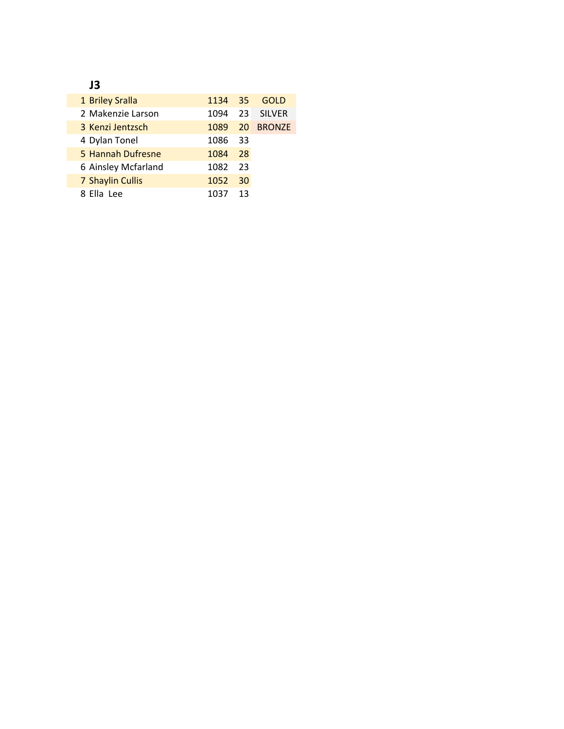## **J3**

| 1 Briley Sralla     |         |      | 1134 35 GOLD |
|---------------------|---------|------|--------------|
| 2 Makenzie Larson   | 1094    |      | 23 SILVER    |
| 3 Kenzi Jentzsch    | 1089    |      | 20 BRONZE    |
| 4 Dylan Tonel       | 1086 33 |      |              |
| 5 Hannah Dufresne   | 1084    | 28   |              |
| 6 Ainsley Mcfarland | 1082    | - 23 |              |
| 7 Shaylin Cullis    | 1052    | 30   |              |
| 8 Flla Lee          | 1037    | 13   |              |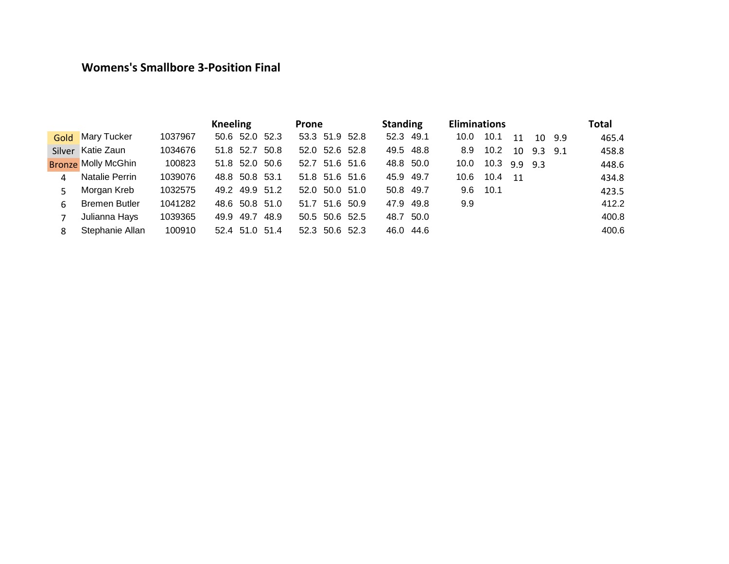### **Womens's Smallbore 3-Position Final**

|      |                            |         | <b>Kneeling</b> |      | <b>Prone</b>   |  | <b>Standing</b> | <b>Eliminations</b> |      |             |             |        | <b>Total</b> |
|------|----------------------------|---------|-----------------|------|----------------|--|-----------------|---------------------|------|-------------|-------------|--------|--------------|
| Gold | <b>Mary Tucker</b>         | 1037967 | 50.6 52.0 52.3  |      | 53.3 51.9 52.8 |  | 52.3 49.1       | 10.0                | 10.1 | 11          |             | 10 9.9 | 465.4        |
|      | Silver Katie Zaun          | 1034676 | 51.8 52.7 50.8  |      | 52.0 52.6 52.8 |  | 49.5 48.8       | 8.9                 | 10.2 | 10          | $9.3$ $9.1$ |        | 458.8        |
|      | <b>Bronze Molly McGhin</b> | 100823  | 51.8 52.0 50.6  |      | 52.7 51.6 51.6 |  | 48.8 50.0       | 10.0                | 10.3 | $9.9$ $9.3$ |             |        | 448.6        |
| 4    | Natalie Perrin             | 1039076 | 48.8 50.8 53.1  |      | 51.8 51.6 51.6 |  | 45.9 49.7       | 10.6                | 10.4 | 11          |             |        | 434.8        |
| 5.   | Morgan Kreb                | 1032575 | 49.2 49.9 51.2  |      | 52.0 50.0 51.0 |  | 50.8 49.7       | 9.6                 | 10.1 |             |             |        | 423.5        |
| 6    | <b>Bremen Butler</b>       | 1041282 | 48.6 50.8 51.0  |      | 51.7 51.6 50.9 |  | 47.9 49.8       | 9.9                 |      |             |             |        | 412.2        |
|      | Julianna Hays              | 1039365 | 49.7<br>49.9    | 48.9 | 50.5 50.6 52.5 |  | 48.7 50.0       |                     |      |             |             |        | 400.8        |
| 8    | Stephanie Allan            | 100910  | 52.4 51.0 51.4  |      | 52.3 50.6 52.3 |  | 46.0 44.6       |                     |      |             |             |        | 400.6        |